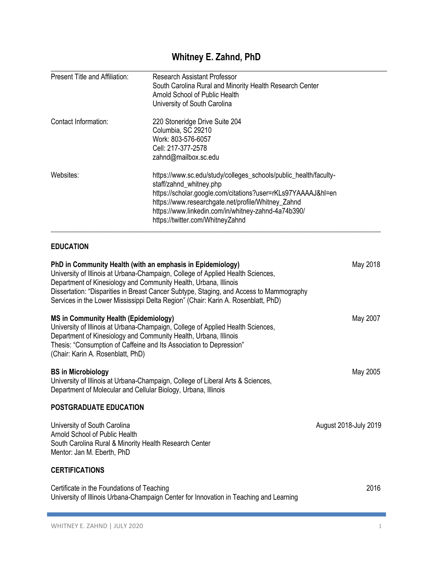# **Whitney E. Zahnd, PhD**

| Present Title and Affiliation:                                                                                                                         | <b>Research Assistant Professor</b><br>South Carolina Rural and Minority Health Research Center<br>Arnold School of Public Health<br>University of South Carolina                                                                                                                                            |                       |
|--------------------------------------------------------------------------------------------------------------------------------------------------------|--------------------------------------------------------------------------------------------------------------------------------------------------------------------------------------------------------------------------------------------------------------------------------------------------------------|-----------------------|
| Contact Information:                                                                                                                                   | 220 Stoneridge Drive Suite 204<br>Columbia, SC 29210<br>Work: 803-576-6057<br>Cell: 217-377-2578<br>zahnd@mailbox.sc.edu                                                                                                                                                                                     |                       |
| Websites:                                                                                                                                              | https://www.sc.edu/study/colleges_schools/public_health/faculty-<br>staff/zahnd_whitney.php<br>https://scholar.google.com/citations?user=rKLs97YAAAAJ&hl=en<br>https://www.researchgate.net/profile/Whitney_Zahnd<br>https://www.linkedin.com/in/whitney-zahnd-4a74b390/<br>https://twitter.com/WhitneyZahnd |                       |
| <b>EDUCATION</b>                                                                                                                                       |                                                                                                                                                                                                                                                                                                              |                       |
| PhD in Community Health (with an emphasis in Epidemiology)<br>Department of Kinesiology and Community Health, Urbana, Illinois                         | University of Illinois at Urbana-Champaign, College of Applied Health Sciences,<br>Dissertation: "Disparities in Breast Cancer Subtype, Staging, and Access to Mammography<br>Services in the Lower Mississippi Delta Region" (Chair: Karin A. Rosenblatt, PhD)                                              | May 2018              |
| <b>MS in Community Health (Epidemiology)</b><br>Department of Kinesiology and Community Health, Urbana, Illinois<br>(Chair: Karin A. Rosenblatt, PhD)  | University of Illinois at Urbana-Champaign, College of Applied Health Sciences,<br>Thesis: "Consumption of Caffeine and Its Association to Depression"                                                                                                                                                       | May 2007              |
| <b>BS</b> in Microbiology<br>Department of Molecular and Cellular Biology, Urbana, Illinois                                                            | University of Illinois at Urbana-Champaign, College of Liberal Arts & Sciences,                                                                                                                                                                                                                              | May 2005              |
| POSTGRADUATE EDUCATION                                                                                                                                 |                                                                                                                                                                                                                                                                                                              |                       |
| University of South Carolina<br>Arnold School of Public Health<br>South Carolina Rural & Minority Health Research Center<br>Mentor: Jan M. Eberth, PhD |                                                                                                                                                                                                                                                                                                              | August 2018-July 2019 |
| <b>CERTIFICATIONS</b>                                                                                                                                  |                                                                                                                                                                                                                                                                                                              |                       |
| Certificate in the Foundations of Teaching                                                                                                             | University of Illinois Urbana-Champaign Center for Innovation in Teaching and Learning                                                                                                                                                                                                                       | 2016                  |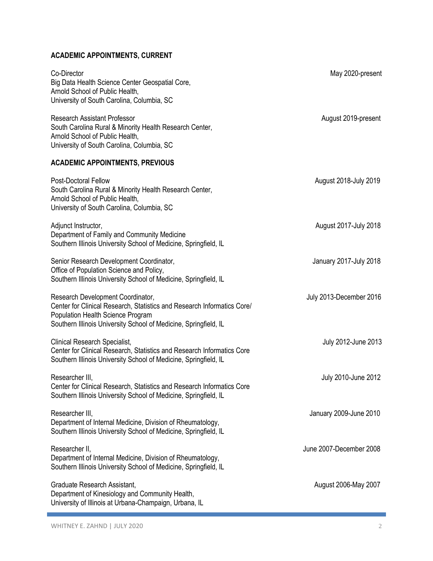# **ACADEMIC APPOINTMENTS, CURRENT**

| Co-Director<br>Big Data Health Science Center Geospatial Core,<br>Arnold School of Public Health,<br>University of South Carolina, Columbia, SC                                                                       | May 2020-present        |
|-----------------------------------------------------------------------------------------------------------------------------------------------------------------------------------------------------------------------|-------------------------|
| <b>Research Assistant Professor</b><br>South Carolina Rural & Minority Health Research Center,<br>Arnold School of Public Health,<br>University of South Carolina, Columbia, SC                                       | August 2019-present     |
| <b>ACADEMIC APPOINTMENTS, PREVIOUS</b>                                                                                                                                                                                |                         |
| Post-Doctoral Fellow<br>South Carolina Rural & Minority Health Research Center,<br>Arnold School of Public Health,<br>University of South Carolina, Columbia, SC                                                      | August 2018-July 2019   |
| Adjunct Instructor,<br>Department of Family and Community Medicine<br>Southern Illinois University School of Medicine, Springfield, IL                                                                                | August 2017-July 2018   |
| Senior Research Development Coordinator,<br>Office of Population Science and Policy,<br>Southern Illinois University School of Medicine, Springfield, IL                                                              | January 2017-July 2018  |
| Research Development Coordinator,<br>Center for Clinical Research, Statistics and Research Informatics Core/<br>Population Health Science Program<br>Southern Illinois University School of Medicine, Springfield, IL | July 2013-December 2016 |
| Clinical Research Specialist,<br>Center for Clinical Research, Statistics and Research Informatics Core<br>Southern Illinois University School of Medicine, Springfield, IL                                           | July 2012-June 2013     |
| Researcher III,<br>Center for Clinical Research, Statistics and Research Informatics Core<br>Southern Illinois University School of Medicine, Springfield, IL                                                         | July 2010-June 2012     |
| Researcher III,<br>Department of Internal Medicine, Division of Rheumatology,<br>Southern Illinois University School of Medicine, Springfield, IL                                                                     | January 2009-June 2010  |
| Researcher II,<br>Department of Internal Medicine, Division of Rheumatology,<br>Southern Illinois University School of Medicine, Springfield, IL                                                                      | June 2007-December 2008 |
| Graduate Research Assistant,<br>Department of Kinesiology and Community Health,<br>University of Illinois at Urbana-Champaign, Urbana, IL                                                                             | August 2006-May 2007    |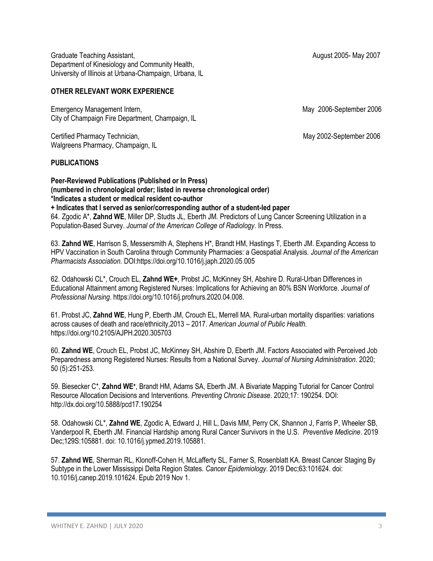Graduate Teaching Assistant, and the Cause of the Cause of the Cause of August 2005- May 2007 Department of Kinesiology and Community Health, University of Illinois at Urbana-Champaign, Urbana, IL

# **OTHER RELEVANT WORK EXPERIENCE**

Emergency Management Intern, and May 2006-September 2006 City of Champaign Fire Department, Champaign, IL

Certified Pharmacy Technician, May 2002-September 2006 Walgreens Pharmacy, Champaign, IL

# **PUBLICATIONS**

**Peer-Reviewed Publications (Published or In Press) (numbered in chronological order; listed in reverse chronological order) \*Indicates a student or medical resident co-author + Indicates that I served as senior/corresponding author of a student-led paper** 64. Zgodic A\*, **Zahnd WE**, Miller DP, Studts JL, Eberth JM. Predictors of Lung Cancer Screening Utilization in a Population-Based Survey. *Journal of the American College of Radiology*. In Press.

63. **Zahnd WE**, Harrison S, Messersmith A, Stephens H\*, Brandt HM, Hastings T, Eberth JM. Expanding Access to HPV Vaccination in South Carolina through Community Pharmacies: a Geospatial Analysis. *Journal of the American Pharmacists Association.* DOI:https://doi.org/10.1016/j.japh.2020.05.005

62. Odahowski CL\*, Crouch EL, **Zahnd WE+**, Probst JC, McKinney SH, Abshire D. Rural-Urban Differences in Educational Attainment among Registered Nurses: Implications for Achieving an 80% BSN Workforce. *Journal of Professional Nursing*. https://doi.org/10.1016/j.profnurs.2020.04.008.

61. Probst JC, **Zahnd WE**, Hung P, Eberth JM, Crouch EL, Merrell MA. Rural-urban mortality disparities: variations across causes of death and race/ethnicity,2013 – 2017. *American Journal of Public Health.*  https://doi.org/10.2105/AJPH.2020.305703

60. **Zahnd WE**, Crouch EL, Probst JC, McKinney SH, Abshire D, Eberth JM. Factors Associated with Perceived Job Preparedness among Registered Nurses: Results from a National Survey. *Journal of Nursing Administration*. 2020; 50 (5):251-253.

59. Biesecker C\*, Zahnd WE+, Brandt HM, Adams SA, Eberth JM. A Bivariate Mapping Tutorial for Cancer Control Resource Allocation Decisions and Interventions. *Preventing Chronic Disease*. 2020;17: 190254. DOI: http://dx.doi.org/10.5888/pcd17.190254

58. Odahowski CL\*, **Zahnd WE**, Zgodic A, Edward J, Hill L, Davis MM, Perry CK, Shannon J, Farris P, Wheeler SB, Vanderpool R, Eberth JM. Financial Hardship among Rural Cancer Survivors in the U.S. *Preventive Medicine*. 2019 Dec;129S:105881. doi: 10.1016/j.ypmed.2019.105881.

57. **Zahnd WE**, Sherman RL, Klonoff-Cohen H, McLafferty SL, Farner S, Rosenblatt KA. Breast Cancer Staging By Subtype in the Lower Mississippi Delta Region States. *Cancer Epidemiology*. 2019 Dec;63:101624. doi: 10.1016/j.canep.2019.101624. Epub 2019 Nov 1.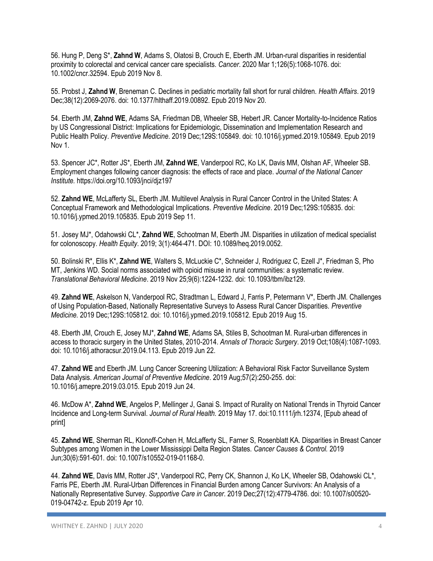56. Hung P, Deng S\*, **Zahnd W**, Adams S, Olatosi B, Crouch E, Eberth JM. Urban-rural disparities in residential proximity to colorectal and cervical cancer care specialists. *Cancer*. 2020 Mar 1;126(5):1068-1076. doi: 10.1002/cncr.32594. Epub 2019 Nov 8.

55. Probst J, **Zahnd W**, Breneman C. Declines in pediatric mortality fall short for rural children. *Health Affairs*. 2019 Dec;38(12):2069-2076. doi: 10.1377/hlthaff.2019.00892. Epub 2019 Nov 20.

54. Eberth JM, **Zahnd WE**, Adams SA, Friedman DB, Wheeler SB, Hebert JR. Cancer Mortality-to-Incidence Ratios by US Congressional District: Implications for Epidemiologic, Dissemination and Implementation Research and Public Health Policy. *Preventive Medicine*. 2019 Dec;129S:105849. doi: 10.1016/j.ypmed.2019.105849. Epub 2019 Nov 1.

53. Spencer JC\*, Rotter JS\*, Eberth JM, **Zahnd WE**, Vanderpool RC, Ko LK, Davis MM, Olshan AF, Wheeler SB. Employment changes following cancer diagnosis: the effects of race and place. *Journal of the National Cancer Institute.* https://doi.org/10.1093/jnci/djz197

52. **Zahnd WE**, McLafferty SL, Eberth JM. Multilevel Analysis in Rural Cancer Control in the United States: A Conceptual Framework and Methodological Implications. *Preventive Medicine*. 2019 Dec;129S:105835. doi: 10.1016/j.ypmed.2019.105835. Epub 2019 Sep 11.

51. Josey MJ\*, Odahowski CL\*, **Zahnd WE**, Schootman M, Eberth JM. Disparities in utilization of medical specialist for colonoscopy. *Health Equity*. 2019; 3(1):464-471. DOI: 10.1089/heq.2019.0052.

50. Bolinski R\*, Ellis K\*, **Zahnd WE**, Walters S, McLuckie C\*, Schneider J, Rodriguez C, Ezell J\*, Friedman S, Pho MT, Jenkins WD. Social norms associated with opioid misuse in rural communities: a systematic review. *Translational Behavioral Medicine*. 2019 Nov 25;9(6):1224-1232. doi: 10.1093/tbm/ibz129.

49. **Zahnd WE**, Askelson N, Vanderpool RC, Stradtman L, Edward J, Farris P, Petermann V\*, Eberth JM. Challenges of Using Population-Based, Nationally Representative Surveys to Assess Rural Cancer Disparities. *Preventive Medicine.* 2019 Dec;129S:105812. doi: 10.1016/j.ypmed.2019.105812. Epub 2019 Aug 15.

48. Eberth JM, Crouch E, Josey MJ\*, **Zahnd WE**, Adams SA, Stiles B, Schootman M. Rural-urban differences in access to thoracic surgery in the United States, 2010-2014. *Annals of Thoracic Surgery*. 2019 Oct;108(4):1087-1093. doi: 10.1016/j.athoracsur.2019.04.113. Epub 2019 Jun 22.

47. **Zahnd WE** and Eberth JM. Lung Cancer Screening Utilization: A Behavioral Risk Factor Surveillance System Data Analysis. *American Journal of Preventive Medicine*. 2019 Aug;57(2):250-255. doi: 10.1016/j.amepre.2019.03.015. Epub 2019 Jun 24.

46. McDow A\*, **Zahnd WE**, Angelos P, Mellinger J, Ganai S. Impact of Rurality on National Trends in Thyroid Cancer Incidence and Long-term Survival. *Journal of Rural Health.* 2019 May 17. doi:10.1111/jrh.12374, [Epub ahead of print]

45. **Zahnd WE**, Sherman RL, Klonoff-Cohen H, McLafferty SL, Farner S, Rosenblatt KA. Disparities in Breast Cancer Subtypes among Women in the Lower Mississippi Delta Region States. *Cancer Causes & Control.* 2019 Jun;30(6):591-601*.* doi: 10.1007/s10552-019-01168-0.

44. **Zahnd WE**, Davis MM, Rotter JS\*, Vanderpool RC, Perry CK, Shannon J, Ko LK, Wheeler SB, Odahowski CL\*, Farris PE, Eberth JM. Rural-Urban Differences in Financial Burden among Cancer Survivors: An Analysis of a Nationally Representative Survey. *Supportive Care in Cancer*. 2019 Dec;27(12):4779-4786. doi: 10.1007/s00520- 019-04742-z. Epub 2019 Apr 10.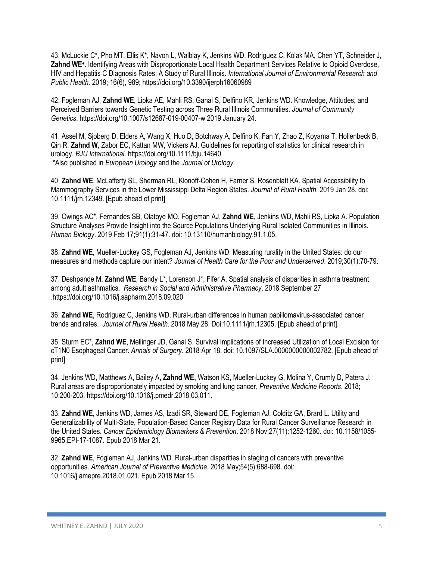43. McLuckie C\*, Pho MT, Ellis K\*, Navon L, Walblay K, Jenkins WD, Rodriguez C, Kolak MA, Chen YT, Schneider J, **Zahnd WE<sup>+</sup>** . Identifying Areas with Disproportionate Local Health Department Services Relative to Opioid Overdose, HIV and Hepatitis C Diagnosis Rates: A Study of Rural Illinois. *International Journal of Environmental Research and Public Health.* 2019; 16(6), 989; https://doi.org/10.3390/ijerph16060989

42. Fogleman AJ, **Zahnd WE**, Lipka AE, Mahli RS, Ganai S, Delfino KR, Jenkins WD. Knowledge, Attitudes, and Perceived Barriers towards Genetic Testing across Three Rural Illinois Communities. *Journal of Community Genetics*. https://doi.org/10.1007/s12687-019-00407-w 2019 January 24.

41. Assel M, Sjoberg D, Elders A, Wang X, Huo D, Botchway A, Delfino K, Fan Y, Zhao Z, Koyama T, Hollenbeck B, Qin R, **Zahnd W**, Zabor EC, Kattan MW, Vickers AJ. Guidelines for reporting of statistics for clinical research in urology. *BJU International*. https://doi.org/10.1111/bju.14640 \*Also published in *European Urology* and the *Journal of Urology*

40. **Zahnd WE**, McLafferty SL, Sherman RL, Klonoff-Cohen H, Farner S, Rosenblatt KA. Spatial Accessibility to Mammography Services in the Lower Mississippi Delta Region States. *Journal of Rural Health*. 2019 Jan 28. doi: 10.1111/jrh.12349. [Epub ahead of print]

39. Owings AC\*, Fernandes SB, Olatoye MO, Fogleman AJ, **Zahnd WE**, Jenkins WD, Mahli RS, Lipka A. Population Structure Analyses Provide Insight into the Source Populations Underlying Rural Isolated Communities in Illinois. *Human Biology*. 2019 Feb 17;91(1):31-47. doi: 10.13110/humanbiology.91.1.05.

38. **Zahnd WE**, Mueller-Luckey GS, Fogleman AJ, Jenkins WD. Measuring rurality in the United States: do our measures and methods capture our intent? *Journal of Health Care for the Poor and Underserved*. 2019;30(1):70-79.

37. Deshpande M, **Zahnd WE**, Bandy L\*, Lorenson J\*, Fifer A. Spatial analysis of disparities in asthma treatment among adult asthmatics. *Research in Social and Administrative Pharmacy*. 2018 September 27 .https://doi.org/10.1016/j.sapharm.2018.09.020

36. **Zahnd WE**, Rodriguez C, Jenkins WD. Rural-urban differences in human papillomavirus-associated cancer trends and rates. *Journal of Rural Health*. 2018 May 28. Doi:10.1111/jrh.12305. [Epub ahead of print].

35. Sturm EC\*, **Zahnd WE**, Mellinger JD, Ganai S. Survival Implications of Increased Utilization of Local Excision for cT1N0 Esophageal Cancer. *Annals of Surgery*. 2018 Apr 18. doi: 10.1097/SLA.0000000000002782. [Epub ahead of print]

34. Jenkins WD, Matthews A, Bailey A**, Zahnd WE,** Watson KS, Mueller-Luckey G, Molina Y, Crumly D, Patera J. Rural areas are disproportionately impacted by smoking and lung cancer. *Preventive Medicine Reports*. 2018; 10:200-203. https://doi.org/10.1016/j.pmedr.2018.03.011.

33. **Zahnd WE**, Jenkins WD, James AS, Izadi SR, Steward DE, Fogleman AJ, Colditz GA, Brard L. Utility and Generalizability of Multi-State, Population-Based Cancer Registry Data for Rural Cancer Surveillance Research in the United States. *Cancer Epidemiology Biomarkers & Prevention*. 2018 Nov;27(11):1252-1260. doi: 10.1158/1055- 9965.EPI-17-1087. Epub 2018 Mar 21.

32. **Zahnd WE**, Fogleman AJ, Jenkins WD. Rural-urban disparities in staging of cancers with preventive opportunities. *American Journal of Preventive Medicine*. 2018 May;54(5):688-698. doi: 10.1016/j.amepre.2018.01.021. Epub 2018 Mar 15.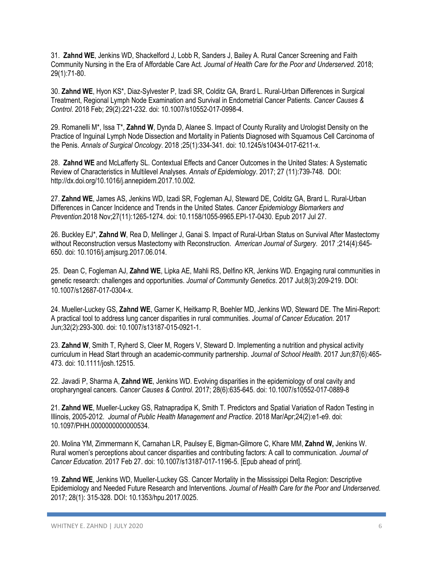31. **Zahnd WE**, Jenkins WD, Shackelford J, Lobb R, Sanders J, Bailey A. Rural Cancer Screening and Faith Community Nursing in the Era of Affordable Care Act. *Journal of Health Care for the Poor and Underserved.* 2018; 29(1):71-80.

30. **Zahnd WE**, Hyon KS\*, Diaz-Sylvester P, Izadi SR, Colditz GA, Brard L. Rural-Urban Differences in Surgical Treatment, Regional Lymph Node Examination and Survival in Endometrial Cancer Patients. *Cancer Causes & Control*. 2018 Feb; 29(2):221-232. doi: 10.1007/s10552-017-0998-4.

29. Romanelli M\*, Issa T\*, **Zahnd W**, Dynda D, Alanee S. Impact of County Rurality and Urologist Density on the Practice of Inguinal Lymph Node Dissection and Mortality in Patients Diagnosed with Squamous Cell Carcinoma of the Penis. *Annals of Surgical Oncology*. 2018 ;25(1):334-341. doi: 10.1245/s10434-017-6211-x.

28. **Zahnd WE** and McLafferty SL. Contextual Effects and Cancer Outcomes in the United States: A Systematic Review of Characteristics in Multilevel Analyses. *Annals of Epidemiology*. 2017; 27 (11):739-748. DOI: http://dx.doi.org/10.1016/j.annepidem.2017.10.002.

27. **Zahnd WE**, James AS, Jenkins WD, Izadi SR, Fogleman AJ, Steward DE, Colditz GA, Brard L. Rural-Urban Differences in Cancer Incidence and Trends in the United States. *Cancer Epidemiology Biomarkers and Prevention*.2018 Nov;27(11):1265-1274. doi: 10.1158/1055-9965.EPI-17-0430. Epub 2017 Jul 27.

26. Buckley EJ\*, **Zahnd W**, Rea D, Mellinger J, Ganai S. Impact of Rural-Urban Status on Survival After Mastectomy without Reconstruction versus Mastectomy with Reconstruction. *American Journal of Surgery*. 2017 ;214(4):645- 650. doi: 10.1016/j.amjsurg.2017.06.014.

25. Dean C, Fogleman AJ, **Zahnd WE**, Lipka AE, Mahli RS, Delfino KR, Jenkins WD. Engaging rural communities in genetic research: challenges and opportunities. *Journal of Community Genetics*. 2017 Jul;8(3):209-219. DOI: 10.1007/s12687-017-0304-x.

24. Mueller-Luckey GS, **Zahnd WE**, Garner K, Heitkamp R, Boehler MD, Jenkins WD, Steward DE. The Mini-Report: A practical tool to address lung cancer disparities in rural communities. *Journal of Cancer Education.* 2017 Jun;32(2):293-300. doi: 10.1007/s13187-015-0921-1.

23. **Zahnd W**, Smith T, Ryherd S, Cleer M, Rogers V, Steward D. Implementing a nutrition and physical activity curriculum in Head Start through an academic-community partnership. *Journal of School Health.* 2017 Jun;87(6):465- 473. doi: 10.1111/josh.12515.

22. Javadi P, Sharma A, **Zahnd WE**, Jenkins WD. Evolving disparities in the epidemiology of oral cavity and oropharyngeal cancers. *Cancer Causes & Control*. 2017; 28(6):635-645. doi: 10.1007/s10552-017-0889-8

21. **Zahnd WE**, Mueller-Luckey GS, Ratnapradipa K, Smith T. Predictors and Spatial Variation of Radon Testing in Illinois, 2005-2012. *Journal of Public Health Management and Practice*. 2018 Mar/Apr;24(2):e1-e9. doi: 10.1097/PHH.0000000000000534.

20. Molina YM, Zimmermann K, Carnahan LR, Paulsey E, Bigman-Gilmore C, Khare MM, **Zahnd W,** Jenkins W. Rural women's perceptions about cancer disparities and contributing factors: A call to communication. *Journal of Cancer Education*. 2017 Feb 27. doi: 10.1007/s13187-017-1196-5. [Epub ahead of print].

19. **Zahnd WE**, Jenkins WD, Mueller-Luckey GS. Cancer Mortality in the Mississippi Delta Region: Descriptive Epidemiology and Needed Future Research and Interventions. *Journal of Health Care for the Poor and Underserved.*  2017; 28(1): 315-328. DOI: 10.1353/hpu.2017.0025.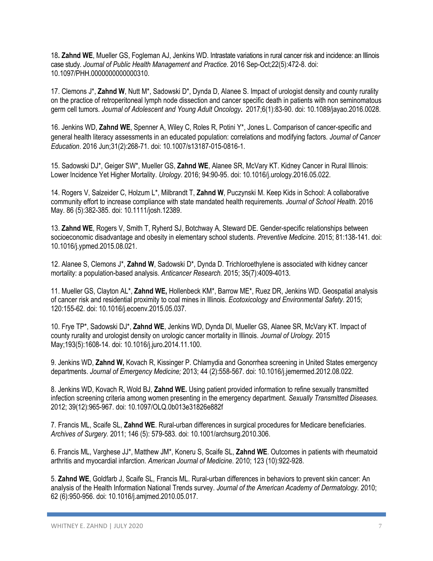18**. Zahnd WE**, Mueller GS, Fogleman AJ, Jenkins WD. Intrastate variations in rural cancer risk and incidence: an Illinois case study. *Journal of Public Health Management and Practice.* 2016 Sep-Oct;22(5):472-8. doi: 10.1097/PHH.0000000000000310.

17. Clemons J\*, **Zahnd W**, Nutt M\*, Sadowski D\*, Dynda D, Alanee S. Impact of urologist density and county rurality on the practice of retroperitoneal lymph node dissection and cancer specific death in patients with non seminomatous germ cell tumors. *Journal of Adolescent and Young Adult Oncology***.** 2017;6(1):83-90. doi: 10.1089/jayao.2016.0028.

16. Jenkins WD, **Zahnd WE**, Spenner A, Wiley C, Roles R, Potini Y\*, Jones L. Comparison of cancer-specific and general health literacy assessments in an educated population: correlations and modifying factors*. Journal of Cancer Education*. 2016 Jun;31(2):268-71. doi: 10.1007/s13187-015-0816-1.

15. Sadowski DJ\*, Geiger SW\*, Mueller GS, **Zahnd WE**, Alanee SR, McVary KT. Kidney Cancer in Rural Illinois: Lower Incidence Yet Higher Mortality. *Urology*. 2016; 94:90-95. doi: 10.1016/j.urology.2016.05.022.

14. Rogers V, Salzeider C, Holzum L\*, Milbrandt T, **Zahnd W**, Puczynski M. Keep Kids in School: A collaborative community effort to increase compliance with state mandated health requirements. *Journal of School Health*. 2016 May. 86 (5):382-385. doi: 10.1111/josh.12389.

13. **Zahnd WE**, Rogers V, Smith T, Ryherd SJ, Botchway A, Steward DE. Gender-specific relationships between socioeconomic disadvantage and obesity in elementary school students. *Preventive Medicine.* 2015; 81:138-141. doi: 10.1016/j.ypmed.2015.08.021.

12. Alanee S, Clemons J\*, **Zahnd W**, Sadowski D\*, Dynda D. Trichloroethylene is associated with kidney cancer mortality: a population-based analysis. *Anticancer Research.* 2015; 35(7):4009-4013.

11. Mueller GS, Clayton AL\*, **Zahnd WE,** Hollenbeck KM\*, Barrow ME\*, Ruez DR, Jenkins WD. Geospatial analysis of cancer risk and residential proximity to coal mines in Illinois. *Ecotoxicology and Environmental Safety*. 2015; 120:155-62. doi: 10.1016/j.ecoenv.2015.05.037.

10. Frye TP\*, Sadowski DJ\*, **Zahnd WE**, Jenkins WD, Dynda DI, Mueller GS, Alanee SR, McVary KT. Impact of county rurality and urologist density on urologic cancer mortality in Illinois. *Journal of Urology.* 2015 May;193(5):1608-14. doi: 10.1016/j.juro.2014.11.100.

9. Jenkins WD, **Zahnd W,** Kovach R, Kissinger P. Chlamydia and Gonorrhea screening in United States emergency departments. *Journal of Emergency Medicine;* 2013; 44 (2):558-567. doi: 10.1016/j.jemermed.2012.08.022.

8. Jenkins WD, Kovach R, Wold BJ, **Zahnd WE.** Using patient provided information to refine sexually transmitted infection screening criteria among women presenting in the emergency department. *Sexually Transmitted Diseases.* 2012; 39(12):965-967. doi: 10.1097/OLQ.0b013e31826e882f

7. Francis ML, Scaife SL, **Zahnd WE**. Rural-urban differences in surgical procedures for Medicare beneficiaries. *Archives of Surgery.* 2011; 146 (5): 579-583. doi: 10.1001/archsurg.2010.306.

6. Francis ML, Varghese JJ\*, Matthew JM\*, Koneru S, Scaife SL, **Zahnd WE**. Outcomes in patients with rheumatoid arthritis and myocardial infarction. *American Journal of Medicine*. 2010; 123 (10):922-928.

5. **Zahnd WE**, Goldfarb J, Scaife SL, Francis ML. Rural-urban differences in behaviors to prevent skin cancer: An analysis of the Health Information National Trends survey. *Journal of the American Academy of Dermatology.* 2010; 62 (6):950-956. doi: 10.1016/j.amjmed.2010.05.017.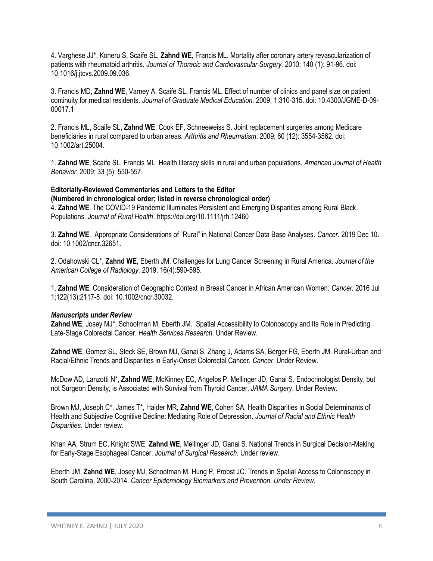4. Varghese JJ\*, Koneru S, Scaife SL, **Zahnd WE**, Francis ML. Mortality after coronary artery revascularization of patients with rheumatoid arthritis. *Journal of Thoracic and Cardiovascular Surgery.* 2010; 140 (1): 91-96. doi: 10.1016/j.jtcvs.2009.09.036.

3. Francis MD, **Zahnd WE**, Varney A, Scaife SL, Francis ML**.** Effect of number of clinics and panel size on patient continuity for medical residents. *Journal of Graduate Medical Education.* 2009; 1:310-315. doi: 10.4300/JGME-D-09- 00017.1

2. Francis ML, Scaife SL, **Zahnd WE**, Cook EF, Schneeweiss S. Joint replacement surgeries among Medicare beneficiaries in rural compared to urban areas. *Arthritis and Rheumatism*. 2009; 60 (12): 3554-3562. doi: 10.1002/art.25004.

1. **Zahnd WE**, Scaife SL, Francis ML. Health literacy skills in rural and urban populations. *American Journal of Health Behavior.* 2009; 33 (5): 550-557.

**Editorially-Reviewed Commentaries and Letters to the Editor (Numbered in chronological order; listed in reverse chronological order)** 4. **Zahnd WE**. The COVID-19 Pandemic Illuminates Persistent and Emerging Disparities among Rural Black Populations. *Journal of Rural Health*. https://doi.org/10.1111/jrh.12460

3. **Zahnd WE**. Appropriate Considerations of "Rural" in National Cancer Data Base Analyses. *Cancer*. 2019 Dec 10. doi: 10.1002/cncr.32651.

2. Odahowski CL\*, **Zahnd WE**, Eberth JM. Challenges for Lung Cancer Screening in Rural America. *Journal of the American College of Radiology.* 2019; 16(4):590-595.

1. **Zahnd WE**. Consideration of Geographic Context in Breast Cancer in African American Women. *Cancer.* 2016 Jul 1;122(13):2117-8. doi: 10.1002/cncr.30032.

# *Manuscripts under Review*

**Zahnd WE**, Josey MJ\*, Schootman M, Eberth JM. Spatial Accessibility to Colonoscopy and Its Role in Predicting Late-Stage Colorectal Cancer. *Health Services Research*. Under Review.

**Zahnd WE**, Gomez SL, Steck SE, Brown MJ, Ganai S, Zhang J, Adams SA, Berger FG, Eberth JM. Rural-Urban and Racial/Ethnic Trends and Disparities in Early-Onset Colorectal Cancer. *Cancer*. Under Review.

McDow AD, Lanzotti N\*, **Zahnd WE**, McKinney EC, Angelos P, Mellinger JD, Ganai S. Endocrinologist Density, but not Surgeon Density, is Associated with Survival from Thyroid Cancer. *JAMA Surgery*. Under Review.

Brown MJ, Joseph C\*, James T\*, Haider MR, **Zahnd WE**, Cohen SA. Health Disparities in Social Determinants of Health and Subjective Cognitive Decline: Mediating Role of Depression. *Journal of Racial and Ethnic Health Disparities*. Under review.

Khan AA, Strum EC, Knight SWE, **Zahnd WE**, Mellinger JD, Ganai S. National Trends in Surgical Decision-Making for Early-Stage Esophageal Cancer. *Journal of Surgical Research*. Under review.

Eberth JM, **Zahnd WE**, Josey MJ, Schootman M, Hung P, Probst JC. Trends in Spatial Access to Colonoscopy in South Carolina, 2000-2014. *Cancer Epidemiology Biomarkers and Prevention. Under Review.*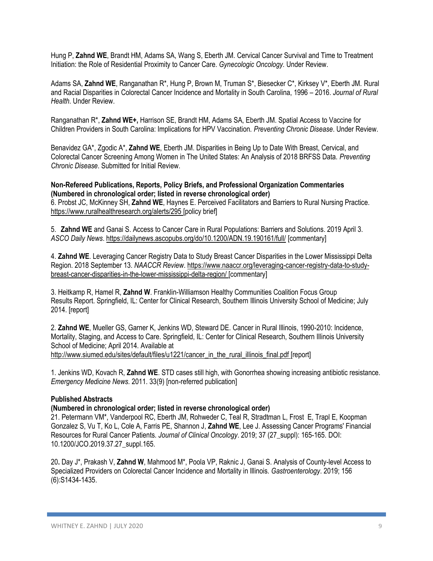Hung P, **Zahnd WE**, Brandt HM, Adams SA, Wang S, Eberth JM. Cervical Cancer Survival and Time to Treatment Initiation: the Role of Residential Proximity to Cancer Care. *Gynecologic Oncology.* Under Review.

Adams SA, **Zahnd WE**, Ranganathan R\*, Hung P, Brown M, Truman S\*, Biesecker C\*, Kirksey V\*, Eberth JM. Rural and Racial Disparities in Colorectal Cancer Incidence and Mortality in South Carolina, 1996 – 2016. *Journal of Rural Health*. Under Review.

Ranganathan R\*, **Zahnd WE+,** Harrison SE, Brandt HM, Adams SA, Eberth JM. Spatial Access to Vaccine for Children Providers in South Carolina: Implications for HPV Vaccination. *Preventing Chronic Disease*. Under Review.

Benavidez GA\*, Zgodic A\*, **Zahnd WE**, Eberth JM. Disparities in Being Up to Date With Breast, Cervical, and Colorectal Cancer Screening Among Women in The United States: An Analysis of 2018 BRFSS Data. *Preventing Chronic Disease*. Submitted for Initial Review.

**Non-Refereed Publications, Reports, Policy Briefs, and Professional Organization Commentaries (Numbered in chronological order; listed in reverse chronological order)** 6. Probst JC, McKinney SH, **Zahnd WE**, Haynes E. Perceived Facilitators and Barriers to Rural Nursing Practice. <https://www.ruralhealthresearch.org/alerts/295> [policy brief]

5. **Zahnd WE** and Ganai S. Access to Cancer Care in Rural Populations: Barriers and Solutions. 2019 April 3. *ASCO Daily News*.<https://dailynews.ascopubs.org/do/10.1200/ADN.19.190161/full/> [commentary]

4. **Zahnd WE**. Leveraging Cancer Registry Data to Study Breast Cancer Disparities in the Lower Mississippi Delta Region. 2018 September 13. *NAACCR Review*. [https://www.naaccr.org/leveraging-cancer-registry-data-to-study](https://www.naaccr.org/leveraging-cancer-registry-data-to-study-breast-cancer-disparities-in-the-lower-mississippi-delta-region/)[breast-cancer-disparities-in-the-lower-mississippi-delta-region/](https://www.naaccr.org/leveraging-cancer-registry-data-to-study-breast-cancer-disparities-in-the-lower-mississippi-delta-region/) [commentary]

3. Heitkamp R, Hamel R, **Zahnd W**. Franklin-Williamson Healthy Communities Coalition Focus Group Results Report. Springfield, IL: Center for Clinical Research, Southern Illinois University School of Medicine; July 2014. [report]

2. **Zahnd WE**, Mueller GS, Garner K, Jenkins WD, Steward DE. Cancer in Rural Illinois, 1990-2010: Incidence, Mortality, Staging, and Access to Care. Springfield, IL: Center for Clinical Research, Southern Illinois University School of Medicine; April 2014. Available at [http://www.siumed.edu/sites/default/files/u1221/cancer\\_in\\_the\\_rural\\_illinois\\_final.pdf](http://www.siumed.edu/sites/default/files/u1221/cancer_in_the_rural_illinois_final.pdf) [report]

1. Jenkins WD, Kovach R, **Zahnd WE**. STD cases still high, with Gonorrhea showing increasing antibiotic resistance. *Emergency Medicine News.* 2011. 33(9) [non-referred publication]

# **Published Abstracts**

# **(Numbered in chronological order; listed in reverse chronological order)**

21. Petermann VM\*, Vanderpool RC, Eberth JM, Rohweder C, Teal R, Stradtman L, Frost E, Trapl E, Koopman Gonzalez S, Vu T, Ko L, Cole A, Farris PE, Shannon J, **Zahnd WE**, Lee J. Assessing Cancer Programs' Financial Resources for Rural Cancer Patients. *Journal of Clinical Oncology*. 2019; 37 (27\_suppl): 165-165. DOI: 10.1200/JCO.2019.37.27\_suppl.165.

20**.** Day J\*, Prakash V, **Zahnd W**, Mahmood M\*, Poola VP, Raknic J, Ganai S. Analysis of County-level Access to Specialized Providers on Colorectal Cancer Incidence and Mortality in Illinois*. Gastroenterology*. 2019; 156 (6):S1434-1435.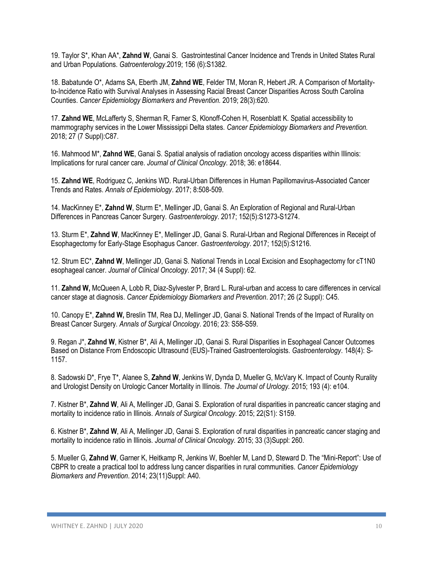19. Taylor S\*, Khan AA\*, **Zahnd W**, Ganai S. Gastrointestinal Cancer Incidence and Trends in United States Rural and Urban Populations. *Gatroenterology*.2019; 156 (6):S1382.

18. Babatunde O\*, Adams SA, Eberth JM, **Zahnd WE**, Felder TM, Moran R, Hebert JR. A Comparison of Mortalityto-Incidence Ratio with Survival Analyses in Assessing Racial Breast Cancer Disparities Across South Carolina Counties. *Cancer Epidemiology Biomarkers and Prevention.* 2019; 28(3):620.

17. **Zahnd WE**, McLafferty S, Sherman R, Farner S, Klonoff-Cohen H, Rosenblatt K. Spatial accessibility to mammography services in the Lower Mississippi Delta states. *Cancer Epidemiology Biomarkers and Prevention.* 2018; 27 (7 Suppl):C87.

16. Mahmood M\*, **Zahnd WE**, Ganai S. Spatial analysis of radiation oncology access disparities within Illinois: Implications for rural cancer care. *Journal of Clinical Oncology.* 2018; 36: e18644.

15. **Zahnd WE**, Rodriguez C, Jenkins WD. Rural-Urban Differences in Human Papillomavirus-Associated Cancer Trends and Rates. *Annals of Epidemiology*. 2017; 8:508-509.

14. MacKinney E\*, **Zahnd W**, Sturm E\*, Mellinger JD, Ganai S. An Exploration of Regional and Rural-Urban Differences in Pancreas Cancer Surgery. *Gastroenterology*. 2017; 152(5):S1273-S1274.

13. Sturm E\*, **Zahnd W**, MacKinney E\*, Mellinger JD, Ganai S. Rural-Urban and Regional Differences in Receipt of Esophagectomy for Early-Stage Esophagus Cancer. *Gastroenterology*. 2017; 152(5):S1216.

12. Strum EC\*, **Zahnd W**, Mellinger JD, Ganai S. National Trends in Local Excision and Esophagectomy for cT1N0 esophageal cancer. *Journal of Clinical Oncology*. 2017; 34 (4 Suppl): 62.

11. **Zahnd W,** McQueen A, Lobb R, Diaz-Sylvester P, Brard L. Rural-urban and access to care differences in cervical cancer stage at diagnosis. *Cancer Epidemiology Biomarkers and Prevention*. 2017; 26 (2 Suppl): C45.

10. Canopy E\*, **Zahnd W,** Breslin TM, Rea DJ, Mellinger JD, Ganai S. National Trends of the Impact of Rurality on Breast Cancer Surgery. *Annals of Surgical Oncology*. 2016; 23: S58-S59.

9. Regan J\*, **Zahnd W**, Kistner B\*, Ali A, Mellinger JD, Ganai S. Rural Disparities in Esophageal Cancer Outcomes Based on Distance From Endoscopic Ultrasound (EUS)-Trained Gastroenterologists. *Gastroenterology*. 148(4): S-1157.

8. Sadowski D\*, Frye T\*, Alanee S, **Zahnd W**, Jenkins W, Dynda D, Mueller G, McVary K. Impact of County Rurality and Urologist Density on Urologic Cancer Mortality in Illinois. *The Journal of Urology.* 2015; 193 (4): e104.

7. Kistner B\*, **Zahnd W**, Ali A, Mellinger JD, Ganai S. Exploration of rural disparities in pancreatic cancer staging and mortality to incidence ratio in Illinois. *Annals of Surgical Oncology*. 2015; 22(S1): S159.

6. Kistner B\*, **Zahnd W**, Ali A, Mellinger JD, Ganai S. Exploration of rural disparities in pancreatic cancer staging and mortality to incidence ratio in Illinois. *Journal of Clinical Oncology.* 2015; 33 (3)Suppl: 260.

5. Mueller G, **Zahnd W**, Garner K, Heitkamp R, Jenkins W, Boehler M, Land D, Steward D. The "Mini-Report": Use of CBPR to create a practical tool to address lung cancer disparities in rural communities. *Cancer Epidemiology Biomarkers and Prevention*. 2014; 23(11)Suppl: A40.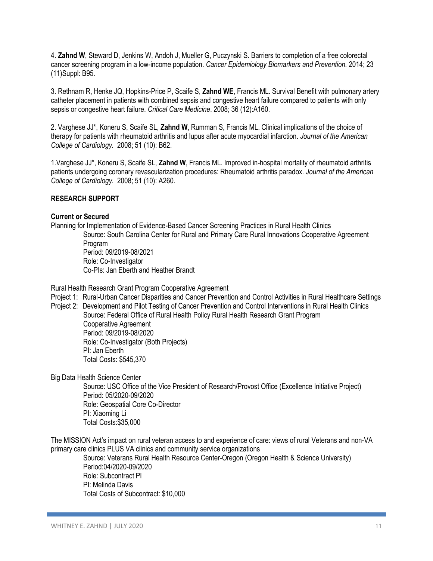4. **Zahnd W**, Steward D, Jenkins W, Andoh J, Mueller G, Puczynski S. Barriers to completion of a free colorectal cancer screening program in a low-income population. *Cancer Epidemiology Biomarkers and Prevention.* 2014; 23 (11)Suppl: B95.

3. Rethnam R, Henke JQ, Hopkins-Price P, Scaife S, **Zahnd WE**, Francis ML. Survival Benefit with pulmonary artery catheter placement in patients with combined sepsis and congestive heart failure compared to patients with only sepsis or congestive heart failure. *Critical Care Medicine*. 2008; 36 (12):A160.

2. Varghese JJ\*, Koneru S, Scaife SL, **Zahnd W**, Rumman S, Francis ML. Clinical implications of the choice of therapy for patients with rheumatoid arthritis and lupus after acute myocardial infarction. *Journal of the American College of Cardiology.* 2008; 51 (10): B62.

1.Varghese JJ\*, Koneru S, Scaife SL, **Zahnd W**, Francis ML. Improved in-hospital mortality of rheumatoid arthritis patients undergoing coronary revascularization procedures: Rheumatoid arthritis paradox. *Journal of the American College of Cardiology.* 2008; 51 (10): A260.

# **RESEARCH SUPPORT**

# **Current or Secured**

Planning for Implementation of Evidence-Based Cancer Screening Practices in Rural Health Clinics Source: South Carolina Center for Rural and Primary Care Rural Innovations Cooperative Agreement Program Period: 09/2019-08/2021 Role: Co-Investigator Co-PIs: Jan Eberth and Heather Brandt

Rural Health Research Grant Program Cooperative Agreement

Project 1: Rural-Urban Cancer Disparities and Cancer Prevention and Control Activities in Rural Healthcare Settings

Project 2: Development and Pilot Testing of Cancer Prevention and Control Interventions in Rural Health Clinics Source: Federal Office of Rural Health Policy Rural Health Research Grant Program Cooperative Agreement Period: 09/2019-08/2020 Role: Co-Investigator (Both Projects) PI: Jan Eberth Total Costs: \$545,370

Big Data Health Science Center

Source: USC Office of the Vice President of Research/Provost Office (Excellence Initiative Project) Period: 05/2020-09/2020 Role: Geospatial Core Co-Director PI: Xiaoming Li Total Costs:\$35,000

The MISSION Act's impact on rural veteran access to and experience of care: views of rural Veterans and non-VA primary care clinics PLUS VA clinics and community service organizations

Source: Veterans Rural Health Resource Center-Oregon (Oregon Health & Science University) Period:04/2020-09/2020 Role: Subcontract PI PI: Melinda Davis Total Costs of Subcontract: \$10,000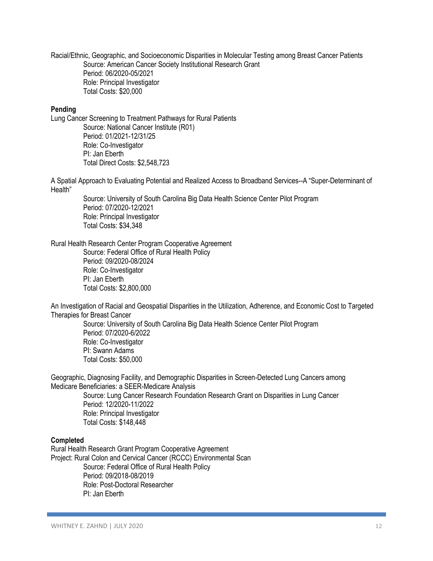Racial/Ethnic, Geographic, and Socioeconomic Disparities in Molecular Testing among Breast Cancer Patients Source: American Cancer Society Institutional Research Grant Period: 06/2020-05/2021 Role: Principal Investigator Total Costs: \$20,000

# **Pending**

Lung Cancer Screening to Treatment Pathways for Rural Patients Source: National Cancer Institute (R01) Period: 01/2021-12/31/25 Role: Co-Investigator PI: Jan Eberth Total Direct Costs: \$2,548,723

A Spatial Approach to Evaluating Potential and Realized Access to Broadband Services--A "Super-Determinant of Health"

Source: University of South Carolina Big Data Health Science Center Pilot Program Period: 07/2020-12/2021 Role: Principal Investigator Total Costs: \$34,348

#### Rural Health Research Center Program Cooperative Agreement

Source: Federal Office of Rural Health Policy Period: 09/2020-08/2024 Role: Co-Investigator PI: Jan Eberth Total Costs: \$2,800,000

An Investigation of Racial and Geospatial Disparities in the Utilization, Adherence, and Economic Cost to Targeted Therapies for Breast Cancer

Source: University of South Carolina Big Data Health Science Center Pilot Program Period: 07/2020-6/2022 Role: Co-Investigator PI: Swann Adams Total Costs: \$50,000

Geographic, Diagnosing Facility, and Demographic Disparities in Screen-Detected Lung Cancers among Medicare Beneficiaries: a SEER-Medicare Analysis

Source: Lung Cancer Research Foundation Research Grant on Disparities in Lung Cancer Period: 12/2020-11/2022 Role: Principal Investigator Total Costs: \$148,448

#### **Completed**

Rural Health Research Grant Program Cooperative Agreement Project: Rural Colon and Cervical Cancer (RCCC) Environmental Scan Source: Federal Office of Rural Health Policy Period: 09/2018-08/2019 Role: Post-Doctoral Researcher PI: Jan Eberth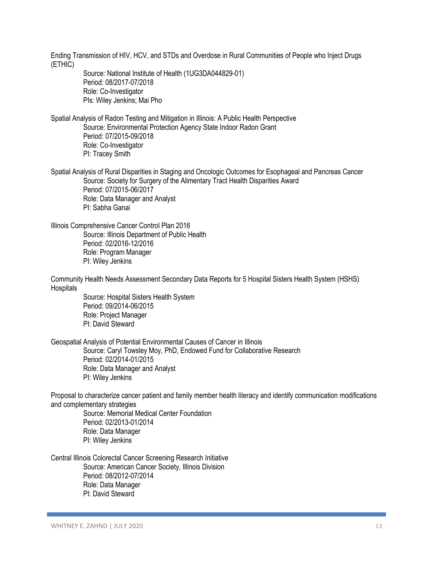Ending Transmission of HIV, HCV, and STDs and Overdose in Rural Communities of People who Inject Drugs (ETHIC) Source: National Institute of Health (1UG3DA044829-01) Period: 08/2017-07/2018 Role: Co-Investigator PIs: Wiley Jenkins; Mai Pho Spatial Analysis of Radon Testing and Mitigation in Illinois: A Public Health Perspective Source: Environmental Protection Agency State Indoor Radon Grant Period: 07/2015-09/2018 Role: Co-Investigator PI: Tracey Smith Spatial Analysis of Rural Disparities in Staging and Oncologic Outcomes for Esophageal and Pancreas Cancer Source: Society for Surgery of the Alimentary Tract Health Disparities Award Period: 07/2015-06/2017 Role: Data Manager and Analyst PI: Sabha Ganai Illinois Comprehensive Cancer Control Plan 2016 Source: Illinois Department of Public Health Period: 02/2016-12/2016 Role: Program Manager PI: Wiley Jenkins Community Health Needs Assessment Secondary Data Reports for 5 Hospital Sisters Health System (HSHS) **Hospitals** Source: Hospital Sisters Health System Period: 09/2014-06/2015 Role: Project Manager PI: David Steward Geospatial Analysis of Potential Environmental Causes of Cancer in Illinois Source: Caryl Towsley Moy, PhD, Endowed Fund for Collaborative Research Period: 02/2014-01/2015 Role: Data Manager and Analyst PI: Wiley Jenkins Proposal to characterize cancer patient and family member health literacy and identify communication modifications and complementary strategies Source: Memorial Medical Center Foundation Period: 02/2013-01/2014 Role: Data Manager PI: Wiley Jenkins Central Illinois Colorectal Cancer Screening Research Initiative Source: American Cancer Society, Illinois Division Period: 08/2012-07/2014 Role: Data Manager PI: David Steward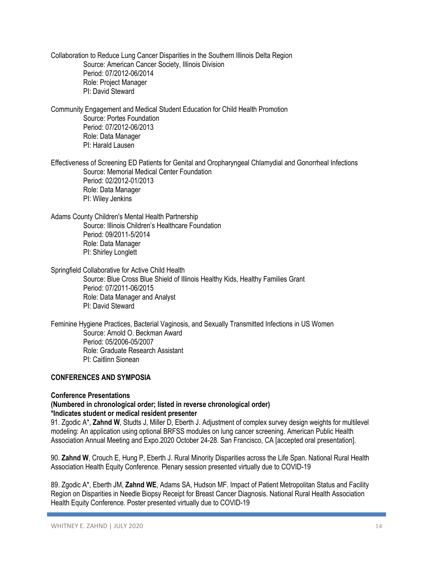Collaboration to Reduce Lung Cancer Disparities in the Southern Illinois Delta Region Source: American Cancer Society, Illinois Division Period: 07/2012-06/2014 Role: Project Manager PI: David Steward

Community Engagement and Medical Student Education for Child Health Promotion Source: Portes Foundation Period: 07/2012-06/2013 Role: Data Manager PI: Harald Lausen

Effectiveness of Screening ED Patients for Genital and Oropharyngeal Chlamydial and Gonorrheal Infections Source: Memorial Medical Center Foundation Period: 02/2012-01/2013 Role: Data Manager PI: Wiley Jenkins

Adams County Children's Mental Health Partnership Source: Illinois Children's Healthcare Foundation Period: 09/2011-5/2014 Role: Data Manager PI: Shirley Longlett

Springfield Collaborative for Active Child Health

Source: Blue Cross Blue Shield of Illinois Healthy Kids, Healthy Families Grant Period: 07/2011-06/2015 Role: Data Manager and Analyst PI: David Steward

Feminine Hygiene Practices, Bacterial Vaginosis, and Sexually Transmitted Infections in US Women Source: Arnold O. Beckman Award Period: 05/2006-05/2007 Role: Graduate Research Assistant PI: Caitlinn Sionean

# **CONFERENCES AND SYMPOSIA**

# **Conference Presentations**

# **(Numbered in chronological order; listed in reverse chronological order) \*Indicates student or medical resident presenter**

91. Zgodic A\*, **Zahnd W**, Studts J, Miller D, Eberth J. Adjustment of complex survey design weights for multilevel modeling: An application using optional BRFSS modules on lung cancer screening. American Public Health Association Annual Meeting and Expo.2020 October 24-28. San Francisco, CA [accepted oral presentation].

90. **Zahnd W**, Crouch E, Hung P, Eberth J. Rural Minority Disparities across the Life Span. National Rural Health Association Health Equity Conference. Plenary session presented virtually due to COVID-19

89. Zgodic A\*, Eberth JM, **Zahnd WE**, Adams SA, Hudson MF. Impact of Patient Metropolitan Status and Facility Region on Disparities in Needle Biopsy Receipt for Breast Cancer Diagnosis. National Rural Health Association Health Equity Conference. Poster presented virtually due to COVID-19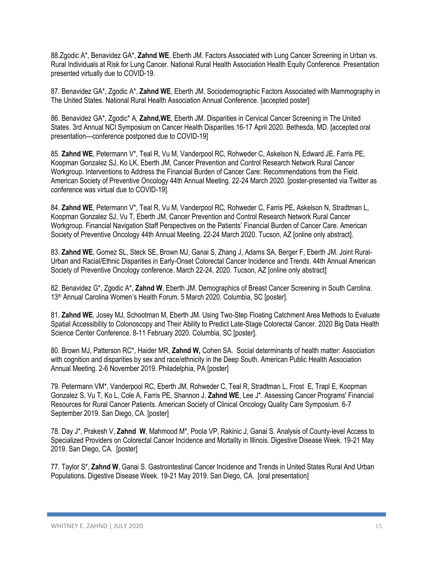88.Zgodic A\*, Benavidez GA\*, **Zahnd WE**, Eberth JM. Factors Associated with Lung Cancer Screening in Urban vs. Rural Individuals at Risk for Lung Cancer. National Rural Health Association Health Equity Conference. Presentation presented virtually due to COVID-19.

87. Benavidez GA\*, Zgodic A\*, **Zahnd WE**, Eberth JM. Sociodemographic Factors Associated with Mammography in The United States. National Rural Health Association Annual Conference. [accepted poster]

86. Benavidez GA\*, Zgodic\* A, **Zahnd,WE**, Eberth JM. Disparities in Cervical Cancer Screening in The United States. 3rd Annual NCI Symposium on Cancer Health Disparities.16-17 April 2020. Bethesda, MD. [accepted oral presentation—conference postponed due to COVID-19]

85. **Zahnd WE**, Petermann V\*, Teal R, Vu M, Vanderpool RC, Rohweder C, Askelson N, Edward JE, Farris PE, Koopman Gonzalez SJ, Ko LK, Eberth JM, Cancer Prevention and Control Research Network Rural Cancer Workgroup. Interventions to Address the Financial Burden of Cancer Care: Recommendations from the Field. American Society of Preventive Oncology 44th Annual Meeting. 22-24 March 2020. [poster-presented via Twitter as conference was virtual due to COVID-19].

84. **Zahnd WE**, Petermann V\*, Teal R, Vu M, Vanderpool RC, Rohweder C, Farris PE, Askelson N, Stradtman L, Koopman Gonzalez SJ, Vu T, Eberth JM, Cancer Prevention and Control Research Network Rural Cancer Workgroup. Financial Navigation Staff Perspectives on the Patients' Financial Burden of Cancer Care. American Society of Preventive Oncology 44th Annual Meeting. 22-24 March 2020. Tucson, AZ [online only abstract].

83. **Zahnd WE**, Gomez SL, Steck SE, Brown MJ, Ganai S, Zhang J, Adams SA, Berger F, Eberth JM. Joint Rural-Urban and Racial/Ethnic Disparities in Early-Onset Colorectal Cancer Incidence and Trends. 44th Annual American Society of Preventive Oncology conference. March 22-24, 2020. Tucson, AZ [online only abstract]

82. Benavidez G\*, Zgodic A\*, **Zahnd W**, Eberth JM. Demographics of Breast Cancer Screening in South Carolina. 13th Annual Carolina Women's Health Forum. 5 March 2020. Columbia, SC [poster].

81. **Zahnd WE**, Josey MJ, Schootman M, Eberth JM. Using Two-Step Floating Catchment Area Methods to Evaluate Spatial Accessibility to Colonoscopy and Their Ability to Predict Late-Stage Colorectal Cancer. 2020 Big Data Health Science Center Conference. 8-11 February 2020. Columbia, SC [poster].

80. Brown MJ, Patterson RC\*, Haider MR, **Zahnd W,** Cohen SA. Social determinants of health matter: Association with cognition and disparities by sex and race/ethnicity in the Deep South. American Public Health Association Annual Meeting. 2-6 November 2019. Philadelphia, PA [poster]

79. Petermann VM\*, Vanderpool RC, Eberth JM, Rohweder C, Teal R, Stradtman L, Frost E, Trapl E, Koopman Gonzalez S, Vu T, Ko L, Cole A, Farris PE, Shannon J, **Zahnd WE**, Lee J\*. Assessing Cancer Programs' Financial Resources for Rural Cancer Patients. American Society of Clinical Oncology Quality Care Symposium. 6-7 September 2019. San Diego, CA. [poster]

78. Day J\*, Prakesh V, **Zahnd W**, Mahmood M\*, Poola VP, Rakinic J, Ganai S. Analysis of County-level Access to Specialized Providers on Colorectal Cancer Incidence and Mortality in Illinois. Digestive Disease Week. 19-21 May 2019. San Diego, CA. [poster]

77. Taylor S\*, **Zahnd W**, Ganai S. Gastrointestinal Cancer Incidence and Trends in United States Rural And Urban Populations. Digestive Disease Week. 19-21 May 2019. San Diego, CA. [oral presentation]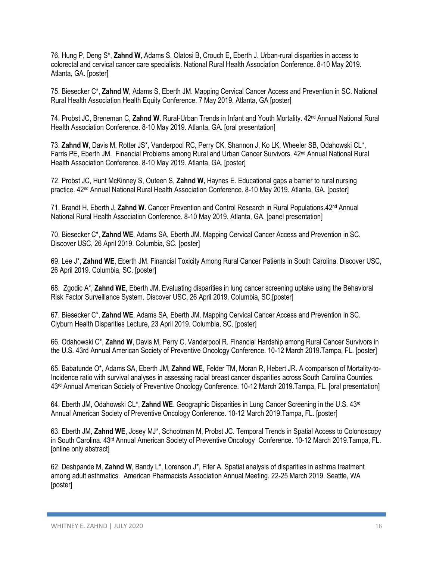76. Hung P, Deng S\*, **Zahnd W**, Adams S, Olatosi B, Crouch E, Eberth J. Urban-rural disparities in access to colorectal and cervical cancer care specialists. National Rural Health Association Conference. 8-10 May 2019. Atlanta, GA. [poster]

75. Biesecker C\*, **Zahnd W**, Adams S, Eberth JM. Mapping Cervical Cancer Access and Prevention in SC. National Rural Health Association Health Equity Conference. 7 May 2019. Atlanta, GA [poster]

74. Probst JC, Breneman C, **Zahnd W**. Rural-Urban Trends in Infant and Youth Mortality. 42nd Annual National Rural Health Association Conference. 8-10 May 2019. Atlanta, GA. [oral presentation]

73. **Zahnd W**, Davis M, Rotter JS\*, Vanderpool RC, Perry CK, Shannon J, Ko LK, Wheeler SB, Odahowski CL\*, Farris PE, Eberth JM. Financial Problems among Rural and Urban Cancer Survivors. 42nd Annual National Rural Health Association Conference. 8-10 May 2019. Atlanta, GA. [poster]

72. Probst JC, Hunt McKinney S, Outeen S, **Zahnd W,** Haynes E. Educational gaps a barrier to rural nursing practice. 42<sup>nd</sup> Annual National Rural Health Association Conference. 8-10 May 2019. Atlanta, GA. [poster]

71. Brandt H, Eberth J**, Zahnd W.** Cancer Prevention and Control Research in Rural Populations.42nd Annual National Rural Health Association Conference. 8-10 May 2019. Atlanta, GA. [panel presentation]

70. Biesecker C\*, **Zahnd WE**, Adams SA, Eberth JM. Mapping Cervical Cancer Access and Prevention in SC. Discover USC, 26 April 2019. Columbia, SC. [poster]

69. Lee J\*, **Zahnd WE**, Eberth JM. Financial Toxicity Among Rural Cancer Patients in South Carolina. Discover USC, 26 April 2019. Columbia, SC. [poster]

68. Zgodic A\*, **Zahnd WE**, Eberth JM. Evaluating disparities in lung cancer screening uptake using the Behavioral Risk Factor Surveillance System. Discover USC, 26 April 2019. Columbia, SC.[poster]

67. Biesecker C\*, **Zahnd WE**, Adams SA, Eberth JM. Mapping Cervical Cancer Access and Prevention in SC. Clyburn Health Disparities Lecture, 23 April 2019. Columbia, SC. [poster]

66. Odahowski C\*, **Zahnd W**, Davis M, Perry C, Vanderpool R. Financial Hardship among Rural Cancer Survivors in the U.S. 43rd Annual American Society of Preventive Oncology Conference. 10-12 March 2019.Tampa, FL. [poster]

65. Babatunde O\*, Adams SA, Eberth JM, **Zahnd WE**, Felder TM, Moran R, Hebert JR. A comparison of Mortality-to-Incidence ratio with survival analyses in assessing racial breast cancer disparities across South Carolina Counties. 43rd Annual American Society of Preventive Oncology Conference. 10-12 March 2019.Tampa, FL. [oral presentation]

64. Eberth JM, Odahowski CL\*, **Zahnd WE**. Geographic Disparities in Lung Cancer Screening in the U.S. 43rd Annual American Society of Preventive Oncology Conference. 10-12 March 2019.Tampa, FL. [poster]

63. Eberth JM, **Zahnd WE**, Josey MJ\*, Schootman M, Probst JC. Temporal Trends in Spatial Access to Colonoscopy in South Carolina. 43rd Annual American Society of Preventive Oncology Conference. 10-12 March 2019.Tampa, FL. [online only abstract]

62. Deshpande M, **Zahnd W**, Bandy L\*, Lorenson J\*, Fifer A. Spatial analysis of disparities in asthma treatment among adult asthmatics. American Pharmacists Association Annual Meeting. 22-25 March 2019. Seattle, WA [poster]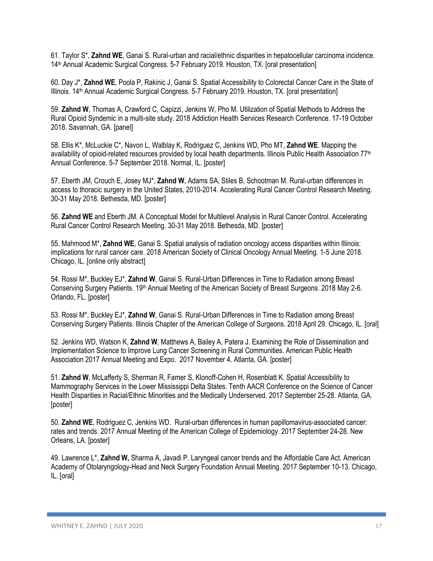61. Taylor S\*, **Zahnd WE**, Ganai S. Rural-urban and racial/ethnic disparities in hepatocellular carcinoma incidence. 14th Annual Academic Surgical Congress. 5-7 February 2019. Houston, TX. [oral presentation]

60. Day J\*, **Zahnd WE**, Poola P, Rakinic J, Ganai S. Spatial Accessibility to Colorectal Cancer Care in the State of Illinois. 14th Annual Academic Surgical Congress. 5-7 February 2019. Houston, TX. [oral presentation]

59. **Zahnd W**, Thomas A, Crawford C, Capizzi, Jenkins W, Pho M. Utilization of Spatial Methods to Address the Rural Opioid Syndemic in a multi-site study. 2018 Addiction Health Services Research Conference. 17-19 October 2018. Savannah, GA. [panel]

58. Ellis K\*, McLuckie C\*, Navon L, Walblay K, Rodriguez C, Jenkins WD, Pho MT, **Zahnd WE**. Mapping the availability of opioid-related resources provided by local health departments. Illinois Public Health Association 77<sup>th</sup> Annual Conference. 5-7 September 2018. Normal, IL. [poster]

57. Eberth JM, Crouch E, Josey MJ\*, **Zahnd W**, Adams SA, Stiles B, Schootman M. Rural-urban differences in access to thoracic surgery in the United States, 2010-2014. Accelerating Rural Cancer Control Research Meeting. 30-31 May 2018. Bethesda, MD. [poster]

56. **Zahnd WE** and Eberth JM. A Conceptual Model for Multilevel Analysis in Rural Cancer Control. Accelerating Rural Cancer Control Research Meeting. 30-31 May 2018. Bethesda, MD. [poster]

55. Mahmood M\*, **Zahnd WE**, Ganai S. Spatial analysis of radiation oncology access disparities within Illinois: implications for rural cancer care. 2018 American Society of Clinical Oncology Annual Meeting. 1-5 June 2018. Chicago, IL. [online only abstract]

54. Rossi M\*, Buckley EJ\*, **Zahnd W**, Ganai S. Rural-Urban Differences in Time to Radiation among Breast Conserving Surgery Patients. 19<sup>th</sup> Annual Meeting of the American Society of Breast Surgeons. 2018 May 2-6. Orlando, FL. [poster]

53. Rossi M\*, Buckley EJ\*, **Zahnd W**, Ganai S. Rural-Urban Differences in Time to Radiation among Breast Conserving Surgery Patients. Illinois Chapter of the American College of Surgeons. 2018 April 29. Chicago, IL. [oral]

52. Jenkins WD, Watson K, **Zahnd W**, Matthews A, Bailey A, Patera J. Examining the Role of Dissemination and Implementation Science to Improve Lung Cancer Screening in Rural Communities. American Public Health Association 2017 Annual Meeting and Expo. 2017 November 4. Atlanta, GA. [poster]

51. **Zahnd W**, McLafferty S, Sherman R, Farner S, Klonoff-Cohen H, Rosenblatt K. Spatial Accessibility to Mammography Services in the Lower Mississippi Delta States. Tenth AACR Conference on the Science of Cancer Health Disparities in Racial/Ethnic Minorities and the Medically Underserved. 2017 September 25-28. Atlanta, GA. [poster]

50. **Zahnd WE**, Rodriguez C, Jenkins WD. Rural-urban differences in human papillomavirus-associated cancer: rates and trends. 2017 Annual Meeting of the American College of Epidemiology. 2017 September 24-28. New Orleans, LA. [poster]

49. Lawrence L\*, **Zahnd W,** Sharma A, Javadi P. Laryngeal cancer trends and the Affordable Care Act. American Academy of Otolaryngology-Head and Neck Surgery Foundation Annual Meeting. 2017 September 10-13. Chicago, IL. [oral]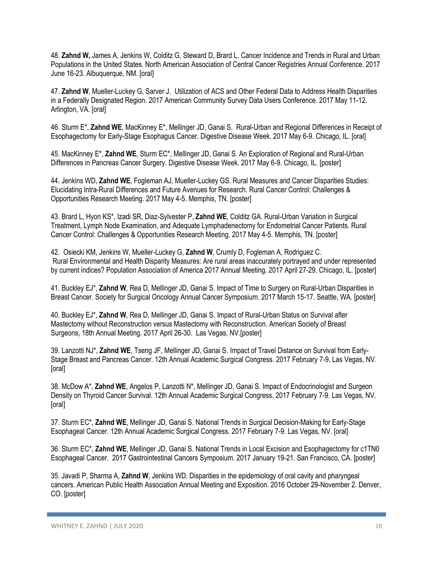48. **Zahnd W,** James A, Jenkins W, Colditz G, Steward D, Brard L. Cancer Incidence and Trends in Rural and Urban Populations in the United States. North American Association of Central Cancer Registries Annual Conference. 2017 June 16-23. Albuquerque, NM. [oral]

47. **Zahnd W**, Mueller-Luckey G, Sarver J. Utilization of ACS and Other Federal Data to Address Health Disparities in a Federally Designated Region. 2017 American Community Survey Data Users Conference. 2017 May 11-12. Arlington, VA. [oral]

46. Sturm E\*, **Zahnd WE**, MacKinney E\*, Mellinger JD, Ganai S. Rural-Urban and Regional Differences in Receipt of Esophagectomy for Early-Stage Esophagus Cancer. Digestive Disease Week. 2017 May 6-9. Chicago, IL. [oral]

45. MacKinney E\*, **Zahnd WE**, Sturm EC\*, Mellinger JD, Ganai S. An Exploration of Regional and Rural-Urban Differences in Pancreas Cancer Surgery. Digestive Disease Week. 2017 May 6-9. Chicago, IL. [poster]

44. Jenkins WD, **Zahnd WE**, Fogleman AJ, Mueller-Luckey GS. Rural Measures and Cancer Disparities Studies: Elucidating Intra-Rural Differences and Future Avenues for Research. Rural Cancer Control: Challenges & Opportunities Research Meeting. 2017 May 4-5. Memphis, TN. [poster]

43. Brard L, Hyon KS\*, Izadi SR, Diaz-Sylvester P, **Zahnd WE**, Colditz GA. Rural-Urban Variation in Surgical Treatment, Lymph Node Examination, and Adequate Lymphadenectomy for Endometrial Cancer Patients. Rural Cancer Control: Challenges & Opportunities Research Meeting. 2017 May 4-5. Memphis, TN. [poster]

42. Osiecki KM, Jenkins W, Mueller-Luckey G, **Zahnd W**, Crumly D, Fogleman A, Rodriguez C. Rural Environmental and Health Disparity Measures: Are rural areas inaccurately portrayed and under represented by current indices? Population Association of America 2017 Annual Meeting. 2017 April 27-29. Chicago, IL. [poster]

41. Buckley EJ\*, **Zahnd W**, Rea D, Mellinger JD, Ganai S. Impact of Time to Surgery on Rural-Urban Disparities in Breast Cancer. Society for Surgical Oncology Annual Cancer Symposium. 2017 March 15-17. Seattle, WA. [poster]

40. Buckley EJ\*, **Zahnd W**, Rea D, Mellinger JD, Ganai S. Impact of Rural-Urban Status on Survival after Mastectomy without Reconstruction versus Mastectomy with Reconstruction. American Society of Breast Surgeons, 18th Annual Meeting. 2017 April 26-30. Las Vegas, NV.[poster]

39. Lanzotti NJ\*, **Zahnd WE**, Tseng JF, Mellinger JD, Ganai S. Impact of Travel Distance on Survival from Early-Stage Breast and Pancreas Cancer. 12th Annual Academic Surgical Congress. 2017 February 7-9. Las Vegas, NV. [oral]

38. McDow A\*, **Zahnd WE**, Angelos P, Lanzotti N\*, Mellinger JD, Ganai S. Impact of Endocrinologist and Surgeon Density on Thyroid Cancer Survival. 12th Annual Academic Surgical Congress. 2017 February 7-9. Las Vegas, NV. [oral]

37. Sturm EC\*, **Zahnd WE**, Mellinger JD, Ganai S. National Trends in Surgical Decision-Making for Early-Stage Esophageal Cancer. 12th Annual Academic Surgical Congress. 2017 February 7-9. Las Vegas, NV. [oral]

36. Sturm EC\*, **Zahnd WE**, Mellinger JD, Ganai S. National Trends in Local Excision and Esophagectomy for c1TN0 Esophageal Cancer. 2017 Gastrointestinal Cancers Symposium. 2017 January 19-21. San Francisco, CA. [poster]

35. Javadi P, Sharma A, **Zahnd W**, Jenkins WD. Disparities in the epidemiology of oral cavity and pharyngeal cancers. American Public Health Association Annual Meeting and Exposition. 2016 October 29-November 2. Denver, CO. [poster]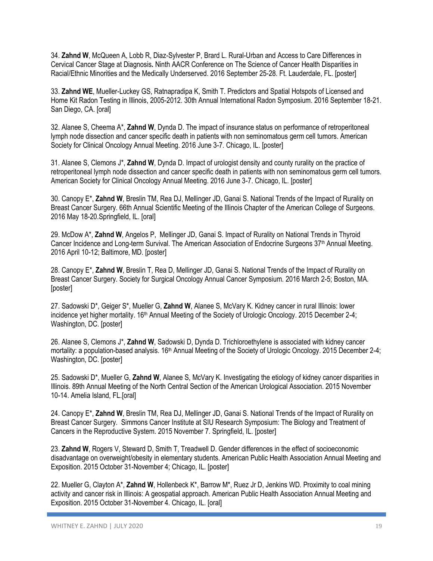34. **Zahnd W**, McQueen A, Lobb R, Diaz-Sylvester P, Brard L. Rural-Urban and Access to Care Differences in Cervical Cancer Stage at Diagnosis**.** Ninth AACR Conference on The Science of Cancer Health Disparities in Racial/Ethnic Minorities and the Medically Underserved. 2016 September 25-28. Ft. Lauderdale, FL. [poster]

33. **Zahnd WE**, Mueller-Luckey GS, Ratnapradipa K, Smith T. Predictors and Spatial Hotspots of Licensed and Home Kit Radon Testing in Illinois, 2005-2012. 30th Annual International Radon Symposium. 2016 September 18-21. San Diego, CA. [oral]

32. Alanee S, Cheema A\*, **Zahnd W**, Dynda D. The impact of insurance status on performance of retroperitoneal lymph node dissection and cancer specific death in patients with non seminomatous germ cell tumors. American Society for Clinical Oncology Annual Meeting. 2016 June 3-7. Chicago, IL. [poster]

31. Alanee S, Clemons J\*, **Zahnd W**, Dynda D. Impact of urologist density and county rurality on the practice of retroperitoneal lymph node dissection and cancer specific death in patients with non seminomatous germ cell tumors. American Society for Clinical Oncology Annual Meeting. 2016 June 3-7. Chicago, IL. [poster]

30. Canopy E\*, **Zahnd W**, Breslin TM, Rea DJ, Mellinger JD, Ganai S. National Trends of the Impact of Rurality on Breast Cancer Surgery. 66th Annual Scientific Meeting of the Illinois Chapter of the American College of Surgeons. 2016 May 18-20.Springfield, IL. [oral]

29. McDow A\*, **Zahnd W**, Angelos P, Mellinger JD, Ganai S. Impact of Rurality on National Trends in Thyroid Cancer Incidence and Long-term Survival. The American Association of Endocrine Surgeons 37<sup>th</sup> Annual Meeting. 2016 April 10-12; Baltimore, MD. [poster]

28. Canopy E\*, **Zahnd W**, Breslin T, Rea D, Mellinger JD, Ganai S. National Trends of the Impact of Rurality on Breast Cancer Surgery. Society for Surgical Oncology Annual Cancer Symposium. 2016 March 2-5; Boston, MA. [poster]

27. Sadowski D\*, Geiger S\*, Mueller G, **Zahnd W**, Alanee S, McVary K. Kidney cancer in rural Illinois: lower incidence yet higher mortality. 16<sup>th</sup> Annual Meeting of the Society of Urologic Oncology. 2015 December 2-4; Washington, DC. [poster]

26. Alanee S, Clemons J\*, **Zahnd W**, Sadowski D, Dynda D. Trichloroethylene is associated with kidney cancer mortality: a population-based analysis. 16<sup>th</sup> Annual Meeting of the Society of Urologic Oncology. 2015 December 2-4; Washington, DC. [poster]

25. Sadowski D\*, Mueller G, **Zahnd W**, Alanee S, McVary K. Investigating the etiology of kidney cancer disparities in Illinois. 89th Annual Meeting of the North Central Section of the American Urological Association. 2015 November 10-14. Amelia Island, FL.[oral]

24. Canopy E\*, **Zahnd W**, Breslin TM, Rea DJ, Mellinger JD, Ganai S. National Trends of the Impact of Rurality on Breast Cancer Surgery. Simmons Cancer Institute at SIU Research Symposium: The Biology and Treatment of Cancers in the Reproductive System. 2015 November 7. Springfield, IL. [poster]

23. **Zahnd W**, Rogers V, Steward D, Smith T, Treadwell D. Gender differences in the effect of socioeconomic disadvantage on overweight/obesity in elementary students. American Public Health Association Annual Meeting and Exposition. 2015 October 31-November 4; Chicago, IL. [poster]

22. Mueller G, Clayton A\*, **Zahnd W**, Hollenbeck K\*, Barrow M\*, Ruez Jr D, Jenkins WD. Proximity to coal mining activity and cancer risk in Illinois: A geospatial approach. American Public Health Association Annual Meeting and Exposition. 2015 October 31-November 4. Chicago, IL. [oral]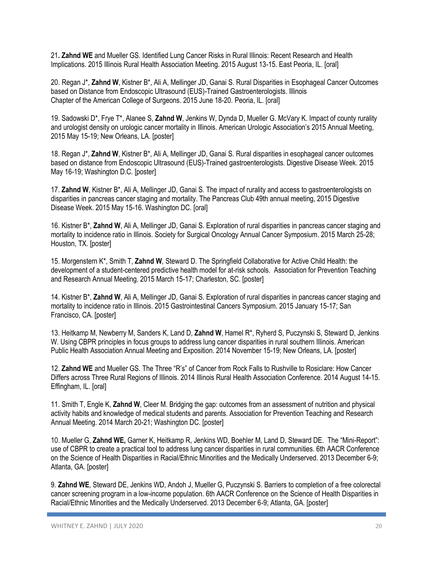21**. Zahnd WE** and Mueller GS. Identified Lung Cancer Risks in Rural Illinois: Recent Research and Health Implications. 2015 Illinois Rural Health Association Meeting. 2015 August 13-15. East Peoria, IL. [oral]

20. Regan J\*, **Zahnd W**, Kistner B\*, Ali A, Mellinger JD, Ganai S. Rural Disparities in Esophageal Cancer Outcomes based on Distance from Endoscopic Ultrasound (EUS)-Trained Gastroenterologists. Illinois Chapter of the American College of Surgeons. 2015 June 18-20. Peoria, IL. [oral]

19. Sadowski D\*, Frye T\*, Alanee S, **Zahnd W**, Jenkins W, Dynda D, Mueller G. McVary K. Impact of county rurality and urologist density on urologic cancer mortality in Illinois. American Urologic Association's 2015 Annual Meeting, 2015 May 15-19; New Orleans, LA. [poster]

18. Regan J\*, **Zahnd W**, Kistner B\*, Ali A, Mellinger JD, Ganai S. Rural disparities in esophageal cancer outcomes based on distance from Endoscopic Ultrasound (EUS)-Trained gastroenterologists. Digestive Disease Week. 2015 May 16-19; Washington D.C. [poster]

17. **Zahnd W**, Kistner B\*, Ali A, Mellinger JD, Ganai S. The impact of rurality and access to gastroenterologists on disparities in pancreas cancer staging and mortality. The Pancreas Club 49th annual meeting, 2015 Digestive Disease Week. 2015 May 15-16. Washington DC. [oral]

16. Kistner B\*, **Zahnd W**, Ali A, Mellinger JD, Ganai S. Exploration of rural disparities in pancreas cancer staging and mortality to incidence ratio in Illinois. Society for Surgical Oncology Annual Cancer Symposium. 2015 March 25-28; Houston, TX. [poster]

15. Morgenstern K\*, Smith T, **Zahnd W**, Steward D. The Springfield Collaborative for Active Child Health: the development of a student-centered predictive health model for at-risk schools. Association for Prevention Teaching and Research Annual Meeting. 2015 March 15-17; Charleston, SC. [poster]

14. Kistner B\*, **Zahnd W**, Ali A, Mellinger JD, Ganai S. Exploration of rural disparities in pancreas cancer staging and mortality to incidence ratio in Illinois. 2015 Gastrointestinal Cancers Symposium. 2015 January 15-17; San Francisco, CA. [poster]

13. Heitkamp M, Newberry M, Sanders K, Land D, **Zahnd W**, Hamel R\*, Ryherd S, Puczynski S, Steward D, Jenkins W. Using CBPR principles in focus groups to address lung cancer disparities in rural southern Illinois. American Public Health Association Annual Meeting and Exposition. 2014 November 15-19; New Orleans, LA. [poster]

12. **Zahnd WE** and Mueller GS. The Three "R's" of Cancer from Rock Falls to Rushville to Rosiclare: How Cancer Differs across Three Rural Regions of Illinois. 2014 Illinois Rural Health Association Conference. 2014 August 14-15. Effingham, IL. [oral]

11. Smith T, Engle K, **Zahnd W**, Cleer M. Bridging the gap: outcomes from an assessment of nutrition and physical activity habits and knowledge of medical students and parents. Association for Prevention Teaching and Research Annual Meeting. 2014 March 20-21; Washington DC. [poster]

10. Mueller G, **Zahnd WE,** Garner K, Heitkamp R, Jenkins WD, Boehler M, Land D, Steward DE. The "Mini-Report": use of CBPR to create a practical tool to address lung cancer disparities in rural communities. 6th AACR Conference on the Science of Health Disparities in Racial/Ethnic Minorities and the Medically Underserved. 2013 December 6-9; Atlanta, GA. [poster]

9. **Zahnd WE**, Steward DE, Jenkins WD, Andoh J, Mueller G, Puczynski S. Barriers to completion of a free colorectal cancer screening program in a low-income population. 6th AACR Conference on the Science of Health Disparities in Racial/Ethnic Minorities and the Medically Underserved. 2013 December 6-9; Atlanta, GA. [poster]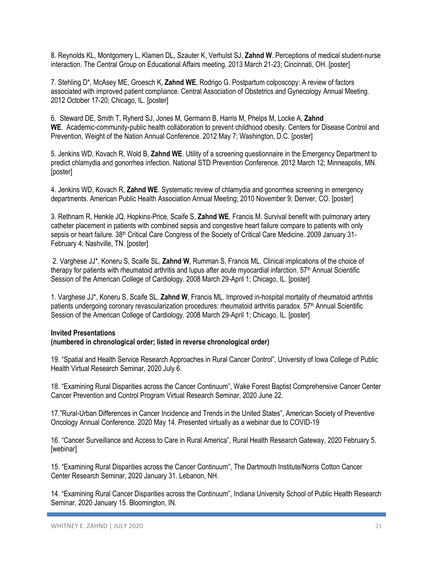8. Reynolds KL, Montgomery L, Klamen DL, Szauter K, Verhulst SJ, **Zahnd W**. Perceptions of medical student-nurse interaction. The Central Group on Educational Affairs meeting. 2013 March 21-23; Cincinnati, OH. [poster]

7. Stehling D\*, McAsey ME, Groesch K, **Zahnd WE**, Rodrigo G. Postpartum colposcopy: A review of factors associated with improved patient compliance. Central Association of Obstetrics and Gynecology Annual Meeting. 2012 October 17-20; Chicago, IL. [poster]

6. Steward DE, Smith T, Ryherd SJ, Jones M, Germann B, Harris M, Phelps M, Locke A, **Zahnd WE**. Academic-community-public health collaboration to prevent childhood obesity*.* Centers for Disease Control and Prevention, Weight of the Nation Annual Conference. 2012 May 7; Washington, D.C. [poster]

5. Jenkins WD, Kovach R, Wold B, **Zahnd WE**. Utility of a screening questionnaire in the Emergency Department to predict chlamydia and gonorrhea infection. National STD Prevention Conference. 2012 March 12; Minneapolis, MN. [poster]

4. Jenkins WD, Kovach R, **Zahnd WE**. Systematic review of chlamydia and gonorrhea screening in emergency departments. American Public Health Association Annual Meeting; 2010 November 9; Denver, CO. [poster]

3. Rethnam R, Henkle JQ, Hopkins-Price, Scaife S, **Zahnd WE**, Francis M. Survival benefit with pulmonary artery catheter placement in patients with combined sepsis and congestive heart failure compare to patients with only sepsis or heart failure. 38<sup>th</sup> Critical Care Congress of the Society of Critical Care Medicine. 2009 January 31-February 4; Nashville, TN. [poster]

2. Varghese JJ\*, Koneru S, Scaife SL, **Zahnd W**, Rumman S, Francis ML. Clinical implications of the choice of therapy for patients with rheumatoid arthritis and lupus after acute myocardial infarction.  $57<sup>th</sup>$  Annual Scientific Session of the American College of Cardiology. 2008 March 29-April 1; Chicago, IL. [poster]

1. Varghese JJ\*, Koneru S, Scaife SL, **Zahnd W**, Francis ML. Improved in-hospital mortality of rheumatoid arthritis patients undergoing coronary revascularization procedures: rheumatoid arthritis paradox. 57<sup>th</sup> Annual Scientific Session of the American College of Cardiology. 2008 March 29-April 1; Chicago, IL. [poster]

# **Invited Presentations**

# **(numbered in chronological order; listed in reverse chronological order)**

19. "Spatial and Health Service Research Approaches in Rural Cancer Control", University of Iowa College of Public Health Virtual Research Seminar, 2020 July 6.

18. "Examining Rural Disparities across the Cancer Continuum", Wake Forest Baptist Comprehensive Cancer Center Cancer Prevention and Control Program Virtual Research Seminar, 2020 June 22.

17."Rural-Urban Differences in Cancer Incidence and Trends in the United States", American Society of Preventive Oncology Annual Conference. 2020 May 14. Presented virtually as a webinar due to COVID-19

16. "Cancer Surveillance and Access to Care in Rural America", Rural Health Research Gateway, 2020 February 5. [webinar]

15. "Examining Rural Disparities across the Cancer Continuum", The Dartmouth Institute/Norris Cotton Cancer Center Research Seminar, 2020 January 31. Lebanon, NH.

14. "Examining Rural Cancer Disparities across the Continuum", Indiana University School of Public Health Research Seminar, 2020 January 15. Bloomington, IN.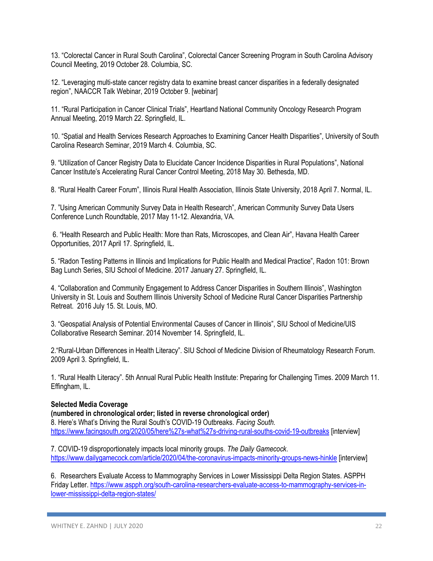13. "Colorectal Cancer in Rural South Carolina", Colorectal Cancer Screening Program in South Carolina Advisory Council Meeting, 2019 October 28. Columbia, SC.

12. "Leveraging multi-state cancer registry data to examine breast cancer disparities in a federally designated region", NAACCR Talk Webinar, 2019 October 9. [webinar]

11. "Rural Participation in Cancer Clinical Trials", Heartland National Community Oncology Research Program Annual Meeting, 2019 March 22. Springfield, IL.

10. "Spatial and Health Services Research Approaches to Examining Cancer Health Disparities", University of South Carolina Research Seminar, 2019 March 4. Columbia, SC.

9. "Utilization of Cancer Registry Data to Elucidate Cancer Incidence Disparities in Rural Populations", National Cancer Institute's Accelerating Rural Cancer Control Meeting, 2018 May 30. Bethesda, MD.

8. "Rural Health Career Forum", Illinois Rural Health Association, Illinois State University, 2018 April 7. Normal, IL.

7. "Using American Community Survey Data in Health Research", American Community Survey Data Users Conference Lunch Roundtable, 2017 May 11-12. Alexandria, VA.

6. "Health Research and Public Health: More than Rats, Microscopes, and Clean Air", Havana Health Career Opportunities, 2017 April 17. Springfield, IL.

5. "Radon Testing Patterns in Illinois and Implications for Public Health and Medical Practice", Radon 101: Brown Bag Lunch Series, SIU School of Medicine. 2017 January 27. Springfield, IL.

4. "Collaboration and Community Engagement to Address Cancer Disparities in Southern Illinois", Washington University in St. Louis and Southern Illinois University School of Medicine Rural Cancer Disparities Partnership Retreat. 2016 July 15. St. Louis, MO.

3. "Geospatial Analysis of Potential Environmental Causes of Cancer in Illinois", SIU School of Medicine/UIS Collaborative Research Seminar. 2014 November 14. Springfield, IL.

2."Rural-Urban Differences in Health Literacy". SIU School of Medicine Division of Rheumatology Research Forum. 2009 April 3. Springfield, IL.

1. "Rural Health Literacy". 5th Annual Rural Public Health Institute: Preparing for Challenging Times. 2009 March 11. Effingham, IL.

# **Selected Media Coverage**

**(numbered in chronological order; listed in reverse chronological order)** 8. Here's What's Driving the Rural South's COVID-19 Outbreaks. *Facing South.* <https://www.facingsouth.org/2020/05/here%27s-what%27s-driving-rural-souths-covid-19-outbreaks> [interview]

7. COVID-19 disproportionately impacts local minority groups. *The Daily Gamecock*. <https://www.dailygamecock.com/article/2020/04/the-coronavirus-impacts-minority-groups-news-hinkle> [interview]

6. Researchers Evaluate Access to Mammography Services in Lower Mississippi Delta Region States. ASPPH Friday Letter[. https://www.aspph.org/south-carolina-researchers-evaluate-access-to-mammography-services-in](https://www.aspph.org/south-carolina-researchers-evaluate-access-to-mammography-services-in-lower-mississippi-delta-region-states/)[lower-mississippi-delta-region-states/](https://www.aspph.org/south-carolina-researchers-evaluate-access-to-mammography-services-in-lower-mississippi-delta-region-states/)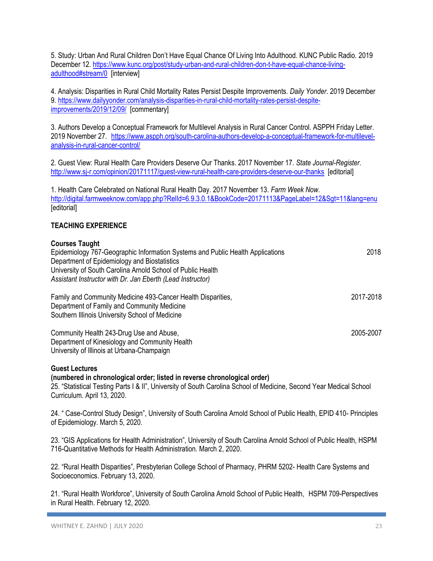5. Study: Urban And Rural Children Don't Have Equal Chance Of Living Into Adulthood. KUNC Public Radio. 2019 December 12. [https://www.kunc.org/post/study-urban-and-rural-children-don-t-have-equal-chance-living](https://www.kunc.org/post/study-urban-and-rural-children-don-t-have-equal-chance-living-adulthood#stream/0)[adulthood#stream/0](https://www.kunc.org/post/study-urban-and-rural-children-don-t-have-equal-chance-living-adulthood#stream/0) [interview]

4. Analysis: Disparities in Rural Child Mortality Rates Persist Despite Improvements. *Daily Yonder*. 2019 December 9. [https://www.dailyyonder.com/analysis-disparities-in-rural-child-mortality-rates-persist-despite](https://www.dailyyonder.com/analysis-disparities-in-rural-child-mortality-rates-persist-despite-improvements/2019/12/09/)[improvements/2019/12/09/](https://www.dailyyonder.com/analysis-disparities-in-rural-child-mortality-rates-persist-despite-improvements/2019/12/09/) [commentary]

3. Authors Develop a Conceptual Framework for Multilevel Analysis in Rural Cancer Control. ASPPH Friday Letter. 2019 November 27. [https://www.aspph.org/south-carolina-authors-develop-a-conceptual-framework-for-multilevel](https://www.aspph.org/south-carolina-authors-develop-a-conceptual-framework-for-multilevel-analysis-in-rural-cancer-control/)[analysis-in-rural-cancer-control/](https://www.aspph.org/south-carolina-authors-develop-a-conceptual-framework-for-multilevel-analysis-in-rural-cancer-control/)

2. Guest View: Rural Health Care Providers Deserve Our Thanks. 2017 November 17. *State Journal-Register*. <http://www.sj-r.com/opinion/20171117/guest-view-rural-health-care-providers-deserve-our-thanks> [editorial]

1. Health Care Celebrated on National Rural Health Day. 2017 November 13. *Farm Week Now*. <http://digital.farmweeknow.com/app.php?RelId=6.9.3.0.1&BookCode=20171113&PageLabel=12&Sgt=11&lang=enu> **[**editorial]

# **TEACHING EXPERIENCE**

# **Courses Taught**

| Epidemiology 767-Geographic Information Systems and Public Health Applications<br>Department of Epidemiology and Biostatistics<br>University of South Carolina Arnold School of Public Health<br>Assistant Instructor with Dr. Jan Eberth (Lead Instructor) | 2018      |
|-------------------------------------------------------------------------------------------------------------------------------------------------------------------------------------------------------------------------------------------------------------|-----------|
| Family and Community Medicine 493-Cancer Health Disparities,<br>Department of Family and Community Medicine<br>Southern Illinois University School of Medicine                                                                                              | 2017-2018 |
| Community Health 243-Drug Use and Abuse,<br>Department of Kinesiology and Community Health<br>University of Illinois at Urbana-Champaign                                                                                                                    | 2005-2007 |

#### **Guest Lectures**

#### **(numbered in chronological order; listed in reverse chronological order)**

25. "Statistical Testing Parts I & II", University of South Carolina School of Medicine, Second Year Medical School Curriculum. April 13, 2020.

24. " Case-Control Study Design", University of South Carolina Arnold School of Public Health, EPID 410- Principles of Epidemiology. March 5, 2020.

23. "GIS Applications for Health Administration", University of South Carolina Arnold School of Public Health, HSPM 716-Quantitative Methods for Health Administration. March 2, 2020.

22. "Rural Health Disparities", Presbyterian College School of Pharmacy, PHRM 5202- Health Care Systems and Socioeconomics. February 13, 2020.

21. "Rural Health Workforce", University of South Carolina Arnold School of Public Health, HSPM 709-Perspectives in Rural Health. February 12, 2020.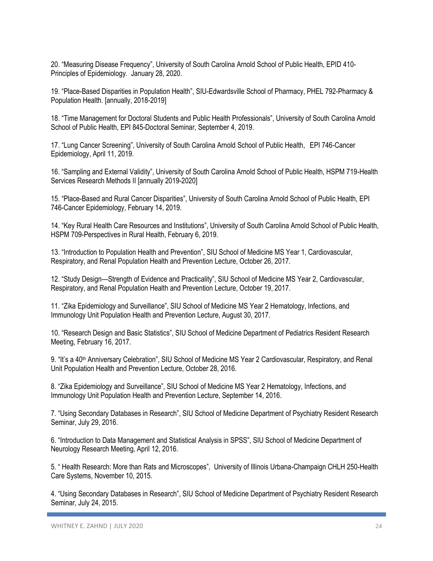20. "Measuring Disease Frequency", University of South Carolina Arnold School of Public Health, EPID 410- Principles of Epidemiology. January 28, 2020.

19. "Place-Based Disparities in Population Health", SIU-Edwardsville School of Pharmacy, PHEL 792-Pharmacy & Population Health. [annually, 2018-2019]

18. "Time Management for Doctoral Students and Public Health Professionals", University of South Carolina Arnold School of Public Health, EPI 845-Doctoral Seminar, September 4, 2019.

17. "Lung Cancer Screening", University of South Carolina Arnold School of Public Health, EPI 746-Cancer Epidemiology, April 11, 2019.

16. "Sampling and External Validity", University of South Carolina Arnold School of Public Health, HSPM 719-Health Services Research Methods II [annually 2019-2020]

15. "Place-Based and Rural Cancer Disparities", University of South Carolina Arnold School of Public Health, EPI 746-Cancer Epidemiology, February 14, 2019.

14. "Key Rural Health Care Resources and Institutions", University of South Carolina Arnold School of Public Health, HSPM 709-Perspectives in Rural Health, February 6, 2019.

13. "Introduction to Population Health and Prevention", SIU School of Medicine MS Year 1, Cardiovascular, Respiratory, and Renal Population Health and Prevention Lecture, October 26, 2017.

12. "Study Design—Strength of Evidence and Practicality", SIU School of Medicine MS Year 2, Cardiovascular, Respiratory, and Renal Population Health and Prevention Lecture, October 19, 2017.

11. "Zika Epidemiology and Surveillance", SIU School of Medicine MS Year 2 Hematology, Infections, and Immunology Unit Population Health and Prevention Lecture, August 30, 2017.

10. "Research Design and Basic Statistics", SIU School of Medicine Department of Pediatrics Resident Research Meeting, February 16, 2017.

9. "It's a 40<sup>th</sup> Anniversary Celebration", SIU School of Medicine MS Year 2 Cardiovascular, Respiratory, and Renal Unit Population Health and Prevention Lecture, October 28, 2016.

8. "Zika Epidemiology and Surveillance", SIU School of Medicine MS Year 2 Hematology, Infections, and Immunology Unit Population Health and Prevention Lecture, September 14, 2016.

7. "Using Secondary Databases in Research", SIU School of Medicine Department of Psychiatry Resident Research Seminar, July 29, 2016.

6. "Introduction to Data Management and Statistical Analysis in SPSS", SIU School of Medicine Department of Neurology Research Meeting, April 12, 2016.

5. " Health Research: More than Rats and Microscopes", University of Illinois Urbana-Champaign CHLH 250-Health Care Systems, November 10, 2015.

4. "Using Secondary Databases in Research", SIU School of Medicine Department of Psychiatry Resident Research Seminar, July 24, 2015.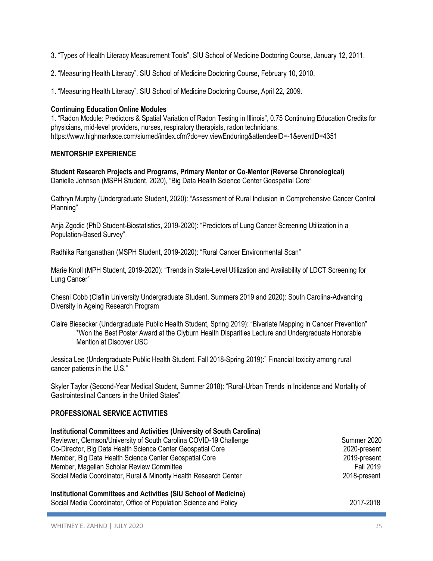- 3. "Types of Health Literacy Measurement Tools", SIU School of Medicine Doctoring Course, January 12, 2011.
- 2. "Measuring Health Literacy". SIU School of Medicine Doctoring Course, February 10, 2010.
- 1. "Measuring Health Literacy". SIU School of Medicine Doctoring Course, April 22, 2009.

# **Continuing Education Online Modules**

1. "Radon Module: Predictors & Spatial Variation of Radon Testing in Illinois", 0.75 Continuing Education Credits for physicians, mid-level providers, nurses, respiratory therapists, radon technicians. https://www.highmarksce.com/siumed/index.cfm?do=ev.viewEnduring&attendeeID=-1&eventID=4351

# **MENTORSHIP EXPERIENCE**

**Student Research Projects and Programs, Primary Mentor or Co-Mentor (Reverse Chronological)** Danielle Johnson (MSPH Student, 2020), "Big Data Health Science Center Geospatial Core"

Cathryn Murphy (Undergraduate Student, 2020): "Assessment of Rural Inclusion in Comprehensive Cancer Control Planning"

Anja Zgodic (PhD Student-Biostatistics, 2019-2020): "Predictors of Lung Cancer Screening Utilization in a Population-Based Survey"

Radhika Ranganathan (MSPH Student, 2019-2020): "Rural Cancer Environmental Scan"

Marie Knoll (MPH Student, 2019-2020): "Trends in State-Level Utilization and Availability of LDCT Screening for Lung Cancer"

Chesni Cobb (Claflin University Undergraduate Student, Summers 2019 and 2020): South Carolina-Advancing Diversity in Ageing Research Program

Claire Biesecker (Undergraduate Public Health Student, Spring 2019): "Bivariate Mapping in Cancer Prevention" \*Won the Best Poster Award at the Clyburn Health Disparities Lecture and Undergraduate Honorable Mention at Discover USC

Jessica Lee (Undergraduate Public Health Student, Fall 2018-Spring 2019):" Financial toxicity among rural cancer patients in the U.S."

Skyler Taylor (Second-Year Medical Student, Summer 2018): "Rural-Urban Trends in Incidence and Mortality of Gastrointestinal Cancers in the United States"

# **PROFESSIONAL SERVICE ACTIVITIES**

| Institutional Committees and Activities (University of South Carolina) |                  |
|------------------------------------------------------------------------|------------------|
| Reviewer, Clemson/University of South Carolina COVID-19 Challenge      | Summer 2020      |
| Co-Director, Big Data Health Science Center Geospatial Core            | 2020-present     |
| Member, Big Data Health Science Center Geospatial Core                 | 2019-present     |
| Member, Magellan Scholar Review Committee                              | <b>Fall 2019</b> |
| Social Media Coordinator, Rural & Minority Health Research Center      | 2018-present     |
| Institutional Committees and Activities (SIU School of Medicine)       |                  |
| Social Media Coordinator, Office of Population Science and Policy      | 2017-2018        |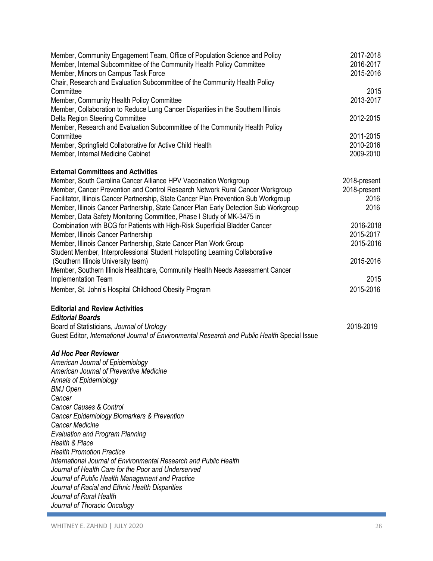| Member, Community Engagement Team, Office of Population Science and Policy<br>Member, Internal Subcommittee of the Community Health Policy Committee<br>Member, Minors on Campus Task Force<br>Chair, Research and Evaluation Subcommittee of the Community Health Policy                                                                                                                                  | 2017-2018<br>2016-2017<br>2015-2016          |
|------------------------------------------------------------------------------------------------------------------------------------------------------------------------------------------------------------------------------------------------------------------------------------------------------------------------------------------------------------------------------------------------------------|----------------------------------------------|
| Committee<br>Member, Community Health Policy Committee<br>Member, Collaboration to Reduce Lung Cancer Disparities in the Southern Illinois                                                                                                                                                                                                                                                                 | 2015<br>2013-2017                            |
| Delta Region Steering Committee<br>Member, Research and Evaluation Subcommittee of the Community Health Policy<br>Committee                                                                                                                                                                                                                                                                                | 2012-2015<br>2011-2015                       |
| Member, Springfield Collaborative for Active Child Health<br>Member, Internal Medicine Cabinet                                                                                                                                                                                                                                                                                                             | 2010-2016<br>2009-2010                       |
| <b>External Committees and Activities</b>                                                                                                                                                                                                                                                                                                                                                                  |                                              |
| Member, South Carolina Cancer Alliance HPV Vaccination Workgroup<br>Member, Cancer Prevention and Control Research Network Rural Cancer Workgroup<br>Facilitator, Illinois Cancer Partnership, State Cancer Plan Prevention Sub Workgroup<br>Member, Illinois Cancer Partnership, State Cancer Plan Early Detection Sub Workgroup<br>Member, Data Safety Monitoring Committee, Phase I Study of MK-3475 in | 2018-present<br>2018-present<br>2016<br>2016 |
| Combination with BCG for Patients with High-Risk Superficial Bladder Cancer<br>Member, Illinois Cancer Partnership<br>Member, Illinois Cancer Partnership, State Cancer Plan Work Group                                                                                                                                                                                                                    | 2016-2018<br>2015-2017<br>2015-2016          |
| Student Member, Interprofessional Student Hotspotting Learning Collaborative<br>(Southern Illinois University team)<br>Member, Southern Illinois Healthcare, Community Health Needs Assessment Cancer                                                                                                                                                                                                      | 2015-2016                                    |
| Implementation Team                                                                                                                                                                                                                                                                                                                                                                                        | 2015                                         |
| Member, St. John's Hospital Childhood Obesity Program                                                                                                                                                                                                                                                                                                                                                      | 2015-2016                                    |
| <b>Editorial and Review Activities</b>                                                                                                                                                                                                                                                                                                                                                                     |                                              |
| <b>Editorial Boards</b><br>Board of Statisticians, Journal of Urology<br>Guest Editor, International Journal of Environmental Research and Public Health Special Issue                                                                                                                                                                                                                                     | 2018-2019                                    |
| <b>Ad Hoc Peer Reviewer</b>                                                                                                                                                                                                                                                                                                                                                                                |                                              |
| American Journal of Epidemiology<br>American Journal of Preventive Medicine<br>Annals of Epidemiology<br>BMJ Open<br>Cancer                                                                                                                                                                                                                                                                                |                                              |
| <b>Cancer Causes &amp; Control</b><br>Cancer Epidemiology Biomarkers & Prevention<br><b>Cancer Medicine</b><br><b>Evaluation and Program Planning</b>                                                                                                                                                                                                                                                      |                                              |
| Health & Place<br><b>Health Promotion Practice</b><br>International Journal of Environmental Research and Public Health                                                                                                                                                                                                                                                                                    |                                              |
| Journal of Health Care for the Poor and Underserved<br>Journal of Public Health Management and Practice<br>Journal of Racial and Ethnic Health Disparities<br>Journal of Rural Health<br>Journal of Thoracic Oncology                                                                                                                                                                                      |                                              |